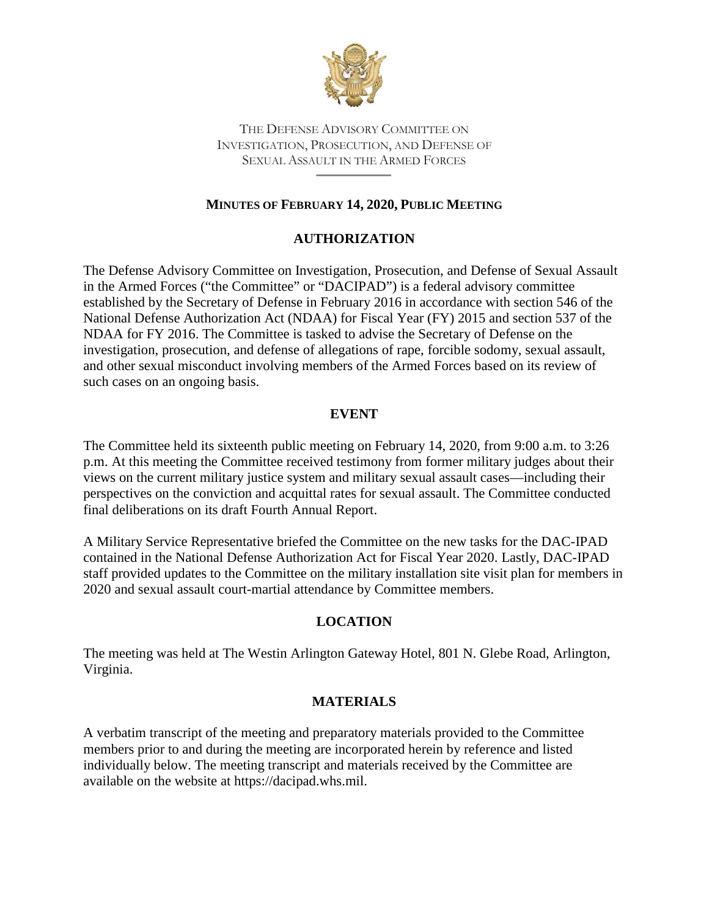

THE DEFENSE ADVISORY COMMITTEE ON INVESTIGATION, PROSECUTION, AND DEFENSE OF SEXUAL ASSAULT IN THE ARMED FORCES

# **MINUTES OF FEBRUARY 14, 2020, PUBLIC MEETING**

# **AUTHORIZATION**

The Defense Advisory Committee on Investigation, Prosecution, and Defense of Sexual Assault in the Armed Forces ("the Committee" or "DACIPAD") is a federal advisory committee established by the Secretary of Defense in February 2016 in accordance with section 546 of the National Defense Authorization Act (NDAA) for Fiscal Year (FY) 2015 and section 537 of the NDAA for FY 2016. The Committee is tasked to advise the Secretary of Defense on the investigation, prosecution, and defense of allegations of rape, forcible sodomy, sexual assault, and other sexual misconduct involving members of the Armed Forces based on its review of such cases on an ongoing basis.

# **EVENT**

The Committee held its sixteenth public meeting on February 14, 2020, from 9:00 a.m. to 3:26 p.m. At this meeting the Committee received testimony from former military judges about their views on the current military justice system and military sexual assault cases—including their perspectives on the conviction and acquittal rates for sexual assault. The Committee conducted final deliberations on its draft Fourth Annual Report.

A Military Service Representative briefed the Committee on the new tasks for the DAC-IPAD contained in the National Defense Authorization Act for Fiscal Year 2020. Lastly, DAC-IPAD staff provided updates to the Committee on the military installation site visit plan for members in 2020 and sexual assault court-martial attendance by Committee members.

# **LOCATION**

The meeting was held at The Westin Arlington Gateway Hotel, 801 N. Glebe Road, Arlington, Virginia.

# **MATERIALS**

A verbatim transcript of the meeting and preparatory materials provided to the Committee members prior to and during the meeting are incorporated herein by reference and listed individually below. The meeting transcript and materials received by the Committee are available on the website at https://dacipad.whs.mil.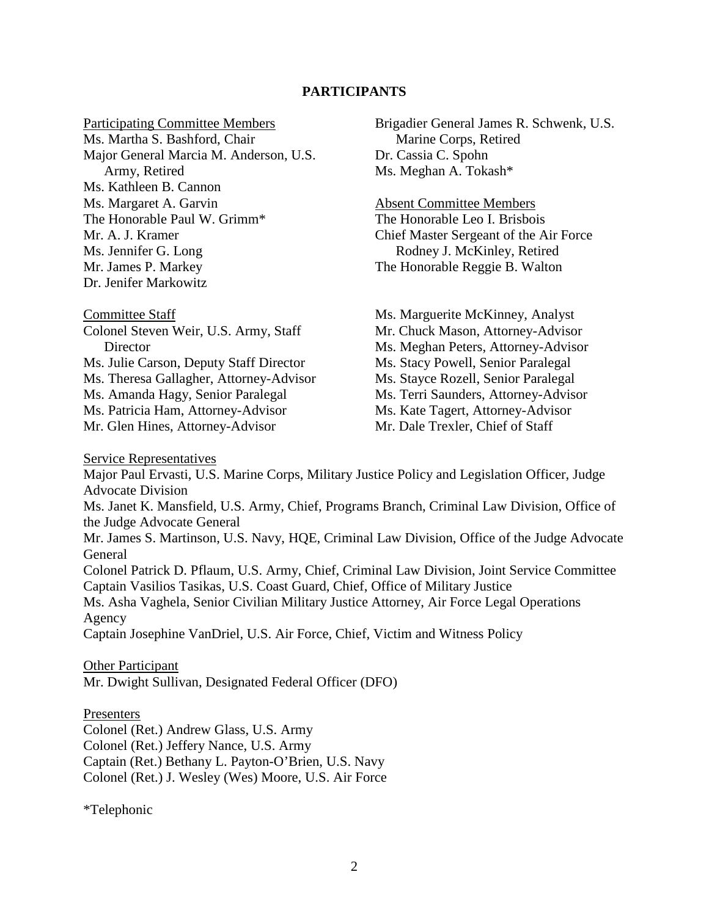#### **PARTICIPANTS**

Participating Committee Members

Ms. Martha S. Bashford, Chair Major General Marcia M. Anderson, U.S. Army, Retired Ms. Kathleen B. Cannon Ms. Margaret A. Garvin The Honorable Paul W. Grimm\* Mr. A. J. Kramer Ms. Jennifer G. Long Mr. James P. Markey Dr. Jenifer Markowitz

Committee Staff Colonel Steven Weir, U.S. Army, Staff **Director** Ms. Julie Carson, Deputy Staff Director Ms. Theresa Gallagher, Attorney-Advisor Ms. Amanda Hagy, Senior Paralegal Ms. Patricia Ham, Attorney-Advisor Mr. Glen Hines, Attorney-Advisor

Brigadier General James R. Schwenk, U.S. Marine Corps, Retired Dr. Cassia C. Spohn Ms. Meghan A. Tokash\*

Absent Committee Members The Honorable Leo I. Brisbois Chief Master Sergeant of the Air Force Rodney J. McKinley, Retired The Honorable Reggie B. Walton

Ms. Marguerite McKinney, Analyst Mr. Chuck Mason, Attorney-Advisor Ms. Meghan Peters, Attorney-Advisor Ms. Stacy Powell, Senior Paralegal Ms. Stayce Rozell, Senior Paralegal Ms. Terri Saunders, Attorney-Advisor Ms. Kate Tagert, Attorney-Advisor Mr. Dale Trexler, Chief of Staff

Service Representatives

Major Paul Ervasti, U.S. Marine Corps, Military Justice Policy and Legislation Officer, Judge Advocate Division Ms. Janet K. Mansfield, U.S. Army, Chief, Programs Branch, Criminal Law Division, Office of the Judge Advocate General Mr. James S. Martinson, U.S. Navy, HQE, Criminal Law Division, Office of the Judge Advocate General Colonel Patrick D. Pflaum, U.S. Army, Chief, Criminal Law Division, Joint Service Committee Captain Vasilios Tasikas, U.S. Coast Guard, Chief, Office of Military Justice Ms. Asha Vaghela, Senior Civilian Military Justice Attorney, Air Force Legal Operations Agency Captain Josephine VanDriel, U.S. Air Force, Chief, Victim and Witness Policy

Other Participant Mr. Dwight Sullivan, Designated Federal Officer (DFO)

#### Presenters

Colonel (Ret.) Andrew Glass, U.S. Army

Colonel (Ret.) Jeffery Nance, U.S. Army

Captain (Ret.) Bethany L. Payton-O'Brien, U.S. Navy

Colonel (Ret.) J. Wesley (Wes) Moore, U.S. Air Force

\*Telephonic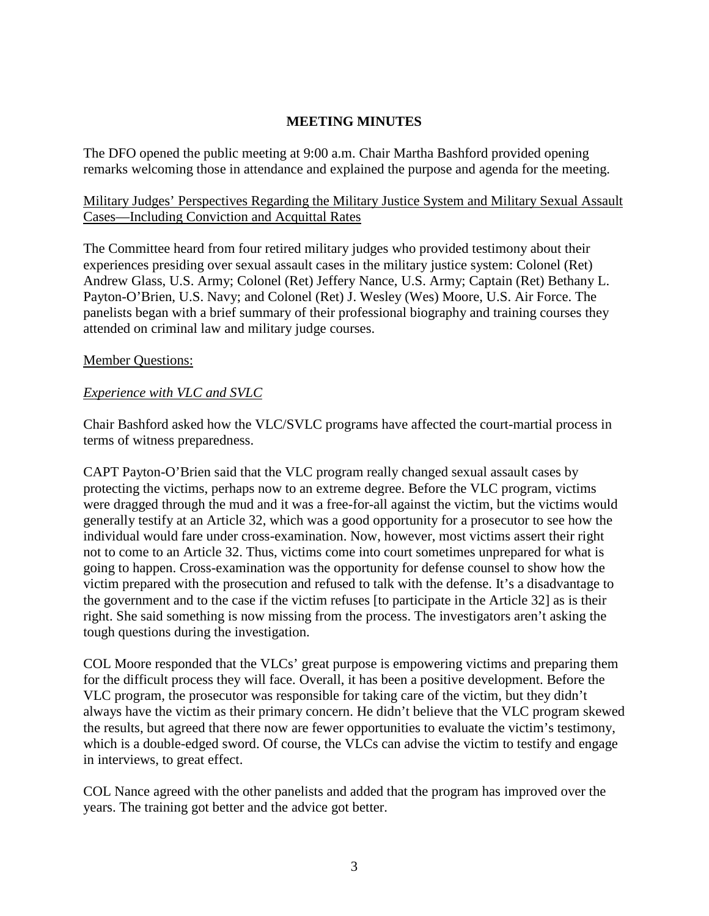### **MEETING MINUTES**

The DFO opened the public meeting at 9:00 a.m. Chair Martha Bashford provided opening remarks welcoming those in attendance and explained the purpose and agenda for the meeting.

### Military Judges' Perspectives Regarding the Military Justice System and Military Sexual Assault Cases—Including Conviction and Acquittal Rates

The Committee heard from four retired military judges who provided testimony about their experiences presiding over sexual assault cases in the military justice system: Colonel (Ret) Andrew Glass, U.S. Army; Colonel (Ret) Jeffery Nance, U.S. Army; Captain (Ret) Bethany L. Payton-O'Brien, U.S. Navy; and Colonel (Ret) J. Wesley (Wes) Moore, U.S. Air Force. The panelists began with a brief summary of their professional biography and training courses they attended on criminal law and military judge courses.

### Member Questions:

### *Experience with VLC and SVLC*

Chair Bashford asked how the VLC/SVLC programs have affected the court-martial process in terms of witness preparedness.

CAPT Payton-O'Brien said that the VLC program really changed sexual assault cases by protecting the victims, perhaps now to an extreme degree. Before the VLC program, victims were dragged through the mud and it was a free-for-all against the victim, but the victims would generally testify at an Article 32, which was a good opportunity for a prosecutor to see how the individual would fare under cross-examination. Now, however, most victims assert their right not to come to an Article 32. Thus, victims come into court sometimes unprepared for what is going to happen. Cross-examination was the opportunity for defense counsel to show how the victim prepared with the prosecution and refused to talk with the defense. It's a disadvantage to the government and to the case if the victim refuses [to participate in the Article 32] as is their right. She said something is now missing from the process. The investigators aren't asking the tough questions during the investigation.

COL Moore responded that the VLCs' great purpose is empowering victims and preparing them for the difficult process they will face. Overall, it has been a positive development. Before the VLC program, the prosecutor was responsible for taking care of the victim, but they didn't always have the victim as their primary concern. He didn't believe that the VLC program skewed the results, but agreed that there now are fewer opportunities to evaluate the victim's testimony, which is a double-edged sword. Of course, the VLCs can advise the victim to testify and engage in interviews, to great effect.

COL Nance agreed with the other panelists and added that the program has improved over the years. The training got better and the advice got better.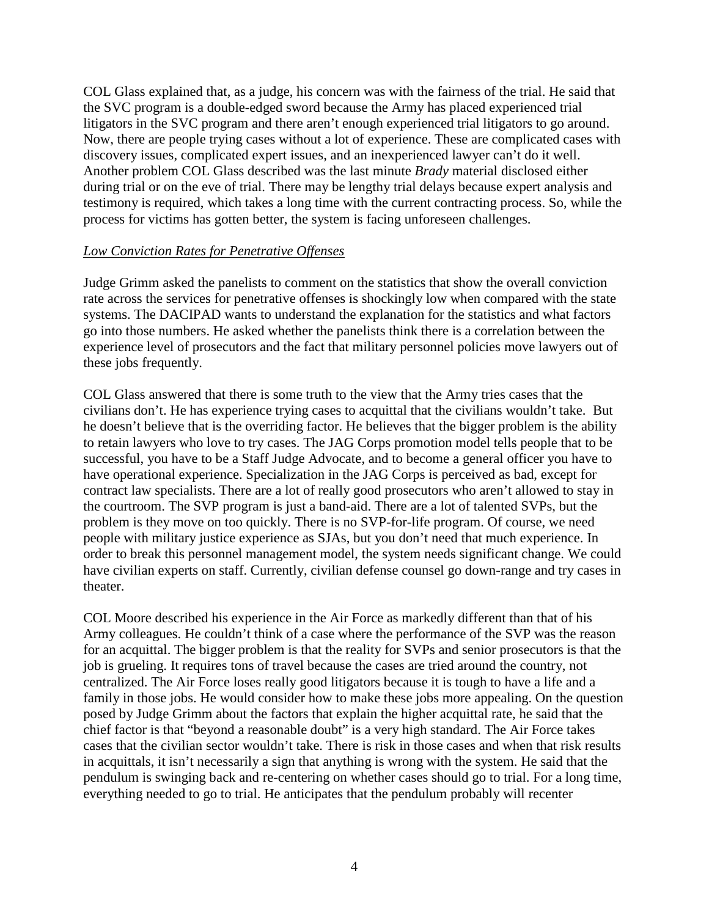COL Glass explained that, as a judge, his concern was with the fairness of the trial. He said that the SVC program is a double-edged sword because the Army has placed experienced trial litigators in the SVC program and there aren't enough experienced trial litigators to go around. Now, there are people trying cases without a lot of experience. These are complicated cases with discovery issues, complicated expert issues, and an inexperienced lawyer can't do it well. Another problem COL Glass described was the last minute *Brady* material disclosed either during trial or on the eve of trial. There may be lengthy trial delays because expert analysis and testimony is required, which takes a long time with the current contracting process. So, while the process for victims has gotten better, the system is facing unforeseen challenges.

### *Low Conviction Rates for Penetrative Offenses*

Judge Grimm asked the panelists to comment on the statistics that show the overall conviction rate across the services for penetrative offenses is shockingly low when compared with the state systems. The DACIPAD wants to understand the explanation for the statistics and what factors go into those numbers. He asked whether the panelists think there is a correlation between the experience level of prosecutors and the fact that military personnel policies move lawyers out of these jobs frequently.

COL Glass answered that there is some truth to the view that the Army tries cases that the civilians don't. He has experience trying cases to acquittal that the civilians wouldn't take. But he doesn't believe that is the overriding factor. He believes that the bigger problem is the ability to retain lawyers who love to try cases. The JAG Corps promotion model tells people that to be successful, you have to be a Staff Judge Advocate, and to become a general officer you have to have operational experience. Specialization in the JAG Corps is perceived as bad, except for contract law specialists. There are a lot of really good prosecutors who aren't allowed to stay in the courtroom. The SVP program is just a band-aid. There are a lot of talented SVPs, but the problem is they move on too quickly. There is no SVP-for-life program. Of course, we need people with military justice experience as SJAs, but you don't need that much experience. In order to break this personnel management model, the system needs significant change. We could have civilian experts on staff. Currently, civilian defense counsel go down-range and try cases in theater.

COL Moore described his experience in the Air Force as markedly different than that of his Army colleagues. He couldn't think of a case where the performance of the SVP was the reason for an acquittal. The bigger problem is that the reality for SVPs and senior prosecutors is that the job is grueling. It requires tons of travel because the cases are tried around the country, not centralized. The Air Force loses really good litigators because it is tough to have a life and a family in those jobs. He would consider how to make these jobs more appealing. On the question posed by Judge Grimm about the factors that explain the higher acquittal rate, he said that the chief factor is that "beyond a reasonable doubt" is a very high standard. The Air Force takes cases that the civilian sector wouldn't take. There is risk in those cases and when that risk results in acquittals, it isn't necessarily a sign that anything is wrong with the system. He said that the pendulum is swinging back and re-centering on whether cases should go to trial. For a long time, everything needed to go to trial. He anticipates that the pendulum probably will recenter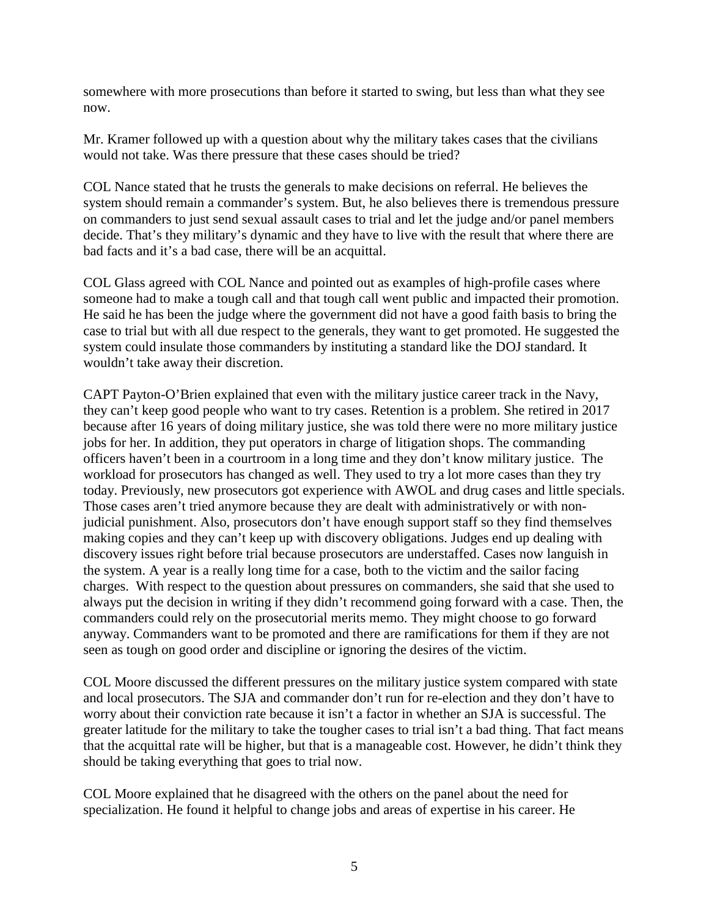somewhere with more prosecutions than before it started to swing, but less than what they see now.

Mr. Kramer followed up with a question about why the military takes cases that the civilians would not take. Was there pressure that these cases should be tried?

COL Nance stated that he trusts the generals to make decisions on referral. He believes the system should remain a commander's system. But, he also believes there is tremendous pressure on commanders to just send sexual assault cases to trial and let the judge and/or panel members decide. That's they military's dynamic and they have to live with the result that where there are bad facts and it's a bad case, there will be an acquittal.

COL Glass agreed with COL Nance and pointed out as examples of high-profile cases where someone had to make a tough call and that tough call went public and impacted their promotion. He said he has been the judge where the government did not have a good faith basis to bring the case to trial but with all due respect to the generals, they want to get promoted. He suggested the system could insulate those commanders by instituting a standard like the DOJ standard. It wouldn't take away their discretion.

CAPT Payton-O'Brien explained that even with the military justice career track in the Navy, they can't keep good people who want to try cases. Retention is a problem. She retired in 2017 because after 16 years of doing military justice, she was told there were no more military justice jobs for her. In addition, they put operators in charge of litigation shops. The commanding officers haven't been in a courtroom in a long time and they don't know military justice. The workload for prosecutors has changed as well. They used to try a lot more cases than they try today. Previously, new prosecutors got experience with AWOL and drug cases and little specials. Those cases aren't tried anymore because they are dealt with administratively or with nonjudicial punishment. Also, prosecutors don't have enough support staff so they find themselves making copies and they can't keep up with discovery obligations. Judges end up dealing with discovery issues right before trial because prosecutors are understaffed. Cases now languish in the system. A year is a really long time for a case, both to the victim and the sailor facing charges. With respect to the question about pressures on commanders, she said that she used to always put the decision in writing if they didn't recommend going forward with a case. Then, the commanders could rely on the prosecutorial merits memo. They might choose to go forward anyway. Commanders want to be promoted and there are ramifications for them if they are not seen as tough on good order and discipline or ignoring the desires of the victim.

COL Moore discussed the different pressures on the military justice system compared with state and local prosecutors. The SJA and commander don't run for re-election and they don't have to worry about their conviction rate because it isn't a factor in whether an SJA is successful. The greater latitude for the military to take the tougher cases to trial isn't a bad thing. That fact means that the acquittal rate will be higher, but that is a manageable cost. However, he didn't think they should be taking everything that goes to trial now.

COL Moore explained that he disagreed with the others on the panel about the need for specialization. He found it helpful to change jobs and areas of expertise in his career. He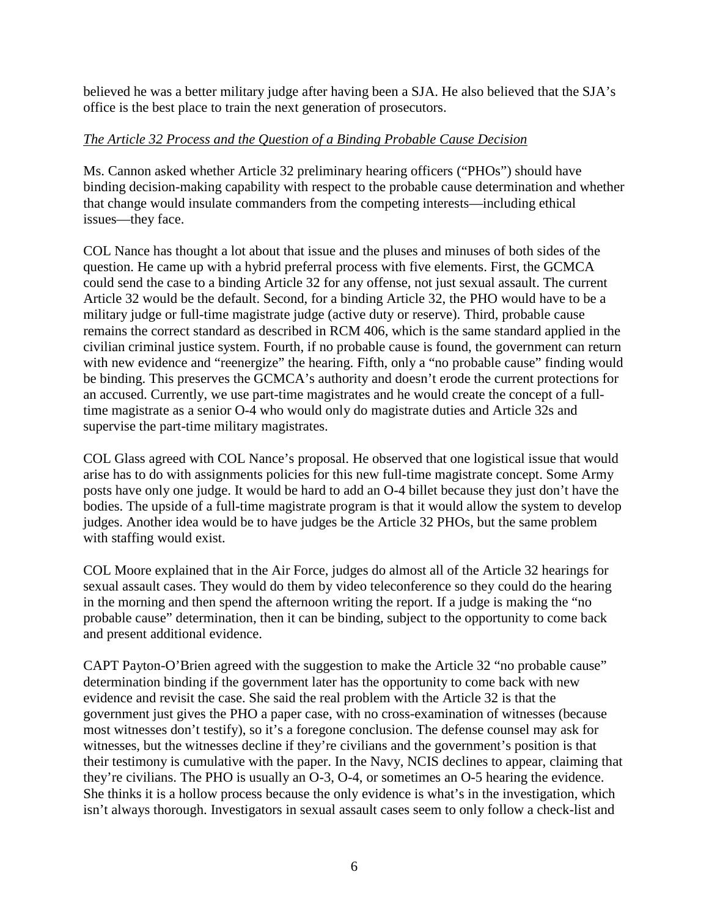believed he was a better military judge after having been a SJA. He also believed that the SJA's office is the best place to train the next generation of prosecutors.

# *The Article 32 Process and the Question of a Binding Probable Cause Decision*

Ms. Cannon asked whether Article 32 preliminary hearing officers ("PHOs") should have binding decision-making capability with respect to the probable cause determination and whether that change would insulate commanders from the competing interests—including ethical issues—they face.

COL Nance has thought a lot about that issue and the pluses and minuses of both sides of the question. He came up with a hybrid preferral process with five elements. First, the GCMCA could send the case to a binding Article 32 for any offense, not just sexual assault. The current Article 32 would be the default. Second, for a binding Article 32, the PHO would have to be a military judge or full-time magistrate judge (active duty or reserve). Third, probable cause remains the correct standard as described in RCM 406, which is the same standard applied in the civilian criminal justice system. Fourth, if no probable cause is found, the government can return with new evidence and "reenergize" the hearing. Fifth, only a "no probable cause" finding would be binding. This preserves the GCMCA's authority and doesn't erode the current protections for an accused. Currently, we use part-time magistrates and he would create the concept of a fulltime magistrate as a senior O-4 who would only do magistrate duties and Article 32s and supervise the part-time military magistrates.

COL Glass agreed with COL Nance's proposal. He observed that one logistical issue that would arise has to do with assignments policies for this new full-time magistrate concept. Some Army posts have only one judge. It would be hard to add an O-4 billet because they just don't have the bodies. The upside of a full-time magistrate program is that it would allow the system to develop judges. Another idea would be to have judges be the Article 32 PHOs, but the same problem with staffing would exist.

COL Moore explained that in the Air Force, judges do almost all of the Article 32 hearings for sexual assault cases. They would do them by video teleconference so they could do the hearing in the morning and then spend the afternoon writing the report. If a judge is making the "no probable cause" determination, then it can be binding, subject to the opportunity to come back and present additional evidence.

CAPT Payton-O'Brien agreed with the suggestion to make the Article 32 "no probable cause" determination binding if the government later has the opportunity to come back with new evidence and revisit the case. She said the real problem with the Article 32 is that the government just gives the PHO a paper case, with no cross-examination of witnesses (because most witnesses don't testify), so it's a foregone conclusion. The defense counsel may ask for witnesses, but the witnesses decline if they're civilians and the government's position is that their testimony is cumulative with the paper. In the Navy, NCIS declines to appear, claiming that they're civilians. The PHO is usually an O-3, O-4, or sometimes an O-5 hearing the evidence. She thinks it is a hollow process because the only evidence is what's in the investigation, which isn't always thorough. Investigators in sexual assault cases seem to only follow a check-list and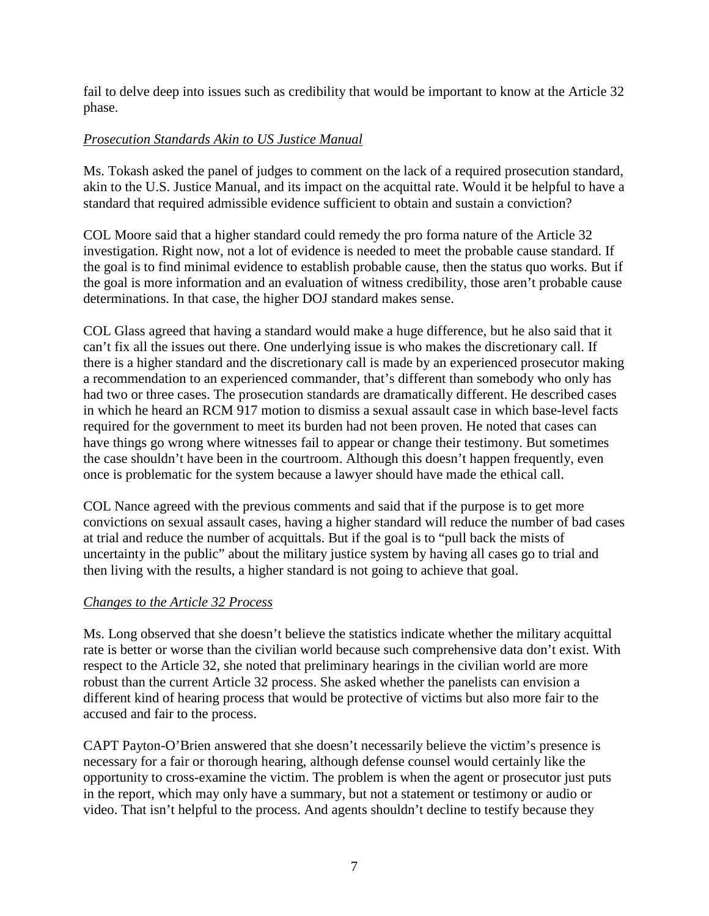fail to delve deep into issues such as credibility that would be important to know at the Article 32 phase.

# *Prosecution Standards Akin to US Justice Manual*

Ms. Tokash asked the panel of judges to comment on the lack of a required prosecution standard, akin to the U.S. Justice Manual, and its impact on the acquittal rate. Would it be helpful to have a standard that required admissible evidence sufficient to obtain and sustain a conviction?

COL Moore said that a higher standard could remedy the pro forma nature of the Article 32 investigation. Right now, not a lot of evidence is needed to meet the probable cause standard. If the goal is to find minimal evidence to establish probable cause, then the status quo works. But if the goal is more information and an evaluation of witness credibility, those aren't probable cause determinations. In that case, the higher DOJ standard makes sense.

COL Glass agreed that having a standard would make a huge difference, but he also said that it can't fix all the issues out there. One underlying issue is who makes the discretionary call. If there is a higher standard and the discretionary call is made by an experienced prosecutor making a recommendation to an experienced commander, that's different than somebody who only has had two or three cases. The prosecution standards are dramatically different. He described cases in which he heard an RCM 917 motion to dismiss a sexual assault case in which base-level facts required for the government to meet its burden had not been proven. He noted that cases can have things go wrong where witnesses fail to appear or change their testimony. But sometimes the case shouldn't have been in the courtroom. Although this doesn't happen frequently, even once is problematic for the system because a lawyer should have made the ethical call.

COL Nance agreed with the previous comments and said that if the purpose is to get more convictions on sexual assault cases, having a higher standard will reduce the number of bad cases at trial and reduce the number of acquittals. But if the goal is to "pull back the mists of uncertainty in the public" about the military justice system by having all cases go to trial and then living with the results, a higher standard is not going to achieve that goal.

# *Changes to the Article 32 Process*

Ms. Long observed that she doesn't believe the statistics indicate whether the military acquittal rate is better or worse than the civilian world because such comprehensive data don't exist. With respect to the Article 32, she noted that preliminary hearings in the civilian world are more robust than the current Article 32 process. She asked whether the panelists can envision a different kind of hearing process that would be protective of victims but also more fair to the accused and fair to the process.

CAPT Payton-O'Brien answered that she doesn't necessarily believe the victim's presence is necessary for a fair or thorough hearing, although defense counsel would certainly like the opportunity to cross-examine the victim. The problem is when the agent or prosecutor just puts in the report, which may only have a summary, but not a statement or testimony or audio or video. That isn't helpful to the process. And agents shouldn't decline to testify because they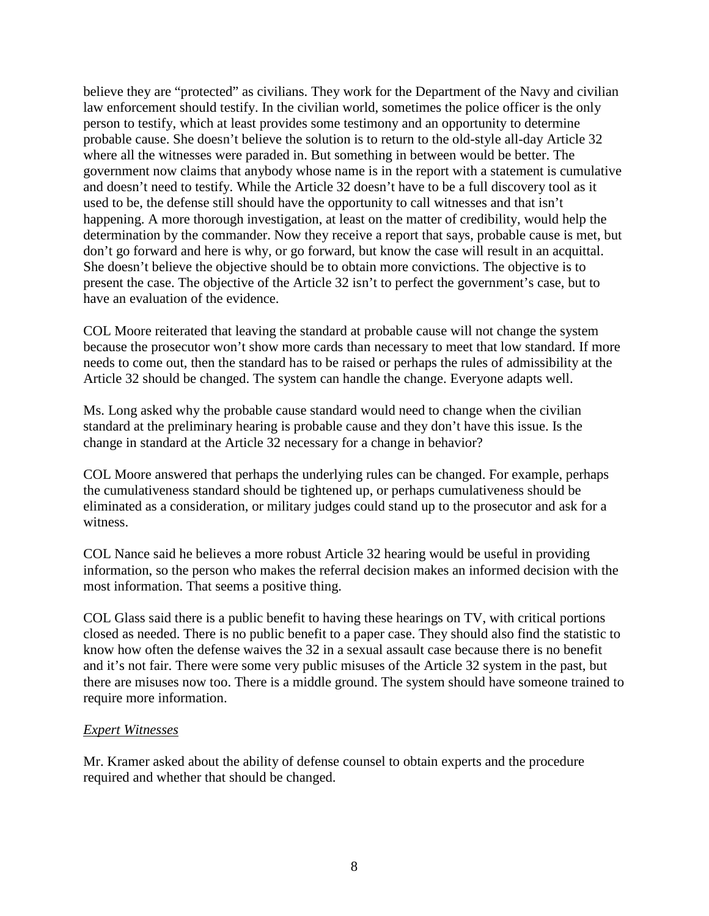believe they are "protected" as civilians. They work for the Department of the Navy and civilian law enforcement should testify. In the civilian world, sometimes the police officer is the only person to testify, which at least provides some testimony and an opportunity to determine probable cause. She doesn't believe the solution is to return to the old-style all-day Article 32 where all the witnesses were paraded in. But something in between would be better. The government now claims that anybody whose name is in the report with a statement is cumulative and doesn't need to testify. While the Article 32 doesn't have to be a full discovery tool as it used to be, the defense still should have the opportunity to call witnesses and that isn't happening. A more thorough investigation, at least on the matter of credibility, would help the determination by the commander. Now they receive a report that says, probable cause is met, but don't go forward and here is why, or go forward, but know the case will result in an acquittal. She doesn't believe the objective should be to obtain more convictions. The objective is to present the case. The objective of the Article 32 isn't to perfect the government's case, but to have an evaluation of the evidence.

COL Moore reiterated that leaving the standard at probable cause will not change the system because the prosecutor won't show more cards than necessary to meet that low standard. If more needs to come out, then the standard has to be raised or perhaps the rules of admissibility at the Article 32 should be changed. The system can handle the change. Everyone adapts well.

Ms. Long asked why the probable cause standard would need to change when the civilian standard at the preliminary hearing is probable cause and they don't have this issue. Is the change in standard at the Article 32 necessary for a change in behavior?

COL Moore answered that perhaps the underlying rules can be changed. For example, perhaps the cumulativeness standard should be tightened up, or perhaps cumulativeness should be eliminated as a consideration, or military judges could stand up to the prosecutor and ask for a witness.

COL Nance said he believes a more robust Article 32 hearing would be useful in providing information, so the person who makes the referral decision makes an informed decision with the most information. That seems a positive thing.

COL Glass said there is a public benefit to having these hearings on TV, with critical portions closed as needed. There is no public benefit to a paper case. They should also find the statistic to know how often the defense waives the 32 in a sexual assault case because there is no benefit and it's not fair. There were some very public misuses of the Article 32 system in the past, but there are misuses now too. There is a middle ground. The system should have someone trained to require more information.

### *Expert Witnesses*

Mr. Kramer asked about the ability of defense counsel to obtain experts and the procedure required and whether that should be changed.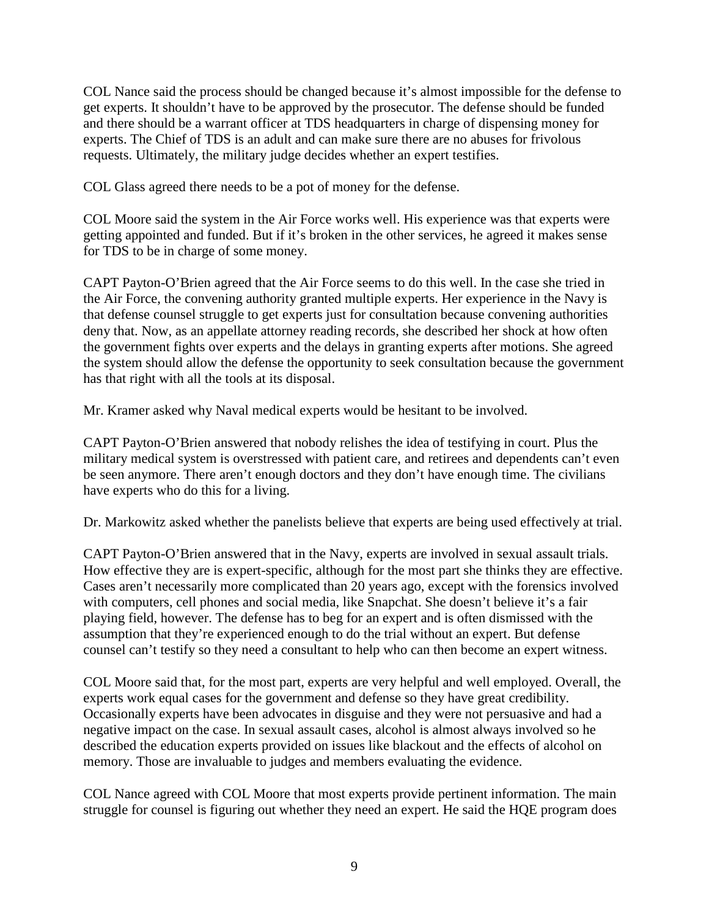COL Nance said the process should be changed because it's almost impossible for the defense to get experts. It shouldn't have to be approved by the prosecutor. The defense should be funded and there should be a warrant officer at TDS headquarters in charge of dispensing money for experts. The Chief of TDS is an adult and can make sure there are no abuses for frivolous requests. Ultimately, the military judge decides whether an expert testifies.

COL Glass agreed there needs to be a pot of money for the defense.

COL Moore said the system in the Air Force works well. His experience was that experts were getting appointed and funded. But if it's broken in the other services, he agreed it makes sense for TDS to be in charge of some money.

CAPT Payton-O'Brien agreed that the Air Force seems to do this well. In the case she tried in the Air Force, the convening authority granted multiple experts. Her experience in the Navy is that defense counsel struggle to get experts just for consultation because convening authorities deny that. Now, as an appellate attorney reading records, she described her shock at how often the government fights over experts and the delays in granting experts after motions. She agreed the system should allow the defense the opportunity to seek consultation because the government has that right with all the tools at its disposal.

Mr. Kramer asked why Naval medical experts would be hesitant to be involved.

CAPT Payton-O'Brien answered that nobody relishes the idea of testifying in court. Plus the military medical system is overstressed with patient care, and retirees and dependents can't even be seen anymore. There aren't enough doctors and they don't have enough time. The civilians have experts who do this for a living.

Dr. Markowitz asked whether the panelists believe that experts are being used effectively at trial.

CAPT Payton-O'Brien answered that in the Navy, experts are involved in sexual assault trials. How effective they are is expert-specific, although for the most part she thinks they are effective. Cases aren't necessarily more complicated than 20 years ago, except with the forensics involved with computers, cell phones and social media, like Snapchat. She doesn't believe it's a fair playing field, however. The defense has to beg for an expert and is often dismissed with the assumption that they're experienced enough to do the trial without an expert. But defense counsel can't testify so they need a consultant to help who can then become an expert witness.

COL Moore said that, for the most part, experts are very helpful and well employed. Overall, the experts work equal cases for the government and defense so they have great credibility. Occasionally experts have been advocates in disguise and they were not persuasive and had a negative impact on the case. In sexual assault cases, alcohol is almost always involved so he described the education experts provided on issues like blackout and the effects of alcohol on memory. Those are invaluable to judges and members evaluating the evidence.

COL Nance agreed with COL Moore that most experts provide pertinent information. The main struggle for counsel is figuring out whether they need an expert. He said the HQE program does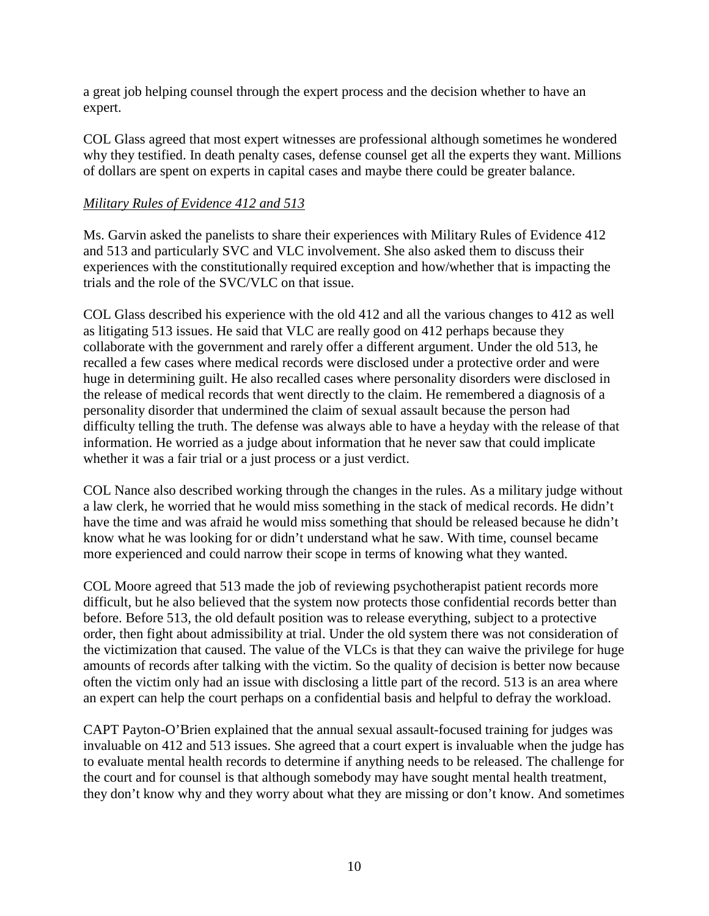a great job helping counsel through the expert process and the decision whether to have an expert.

COL Glass agreed that most expert witnesses are professional although sometimes he wondered why they testified. In death penalty cases, defense counsel get all the experts they want. Millions of dollars are spent on experts in capital cases and maybe there could be greater balance.

# *Military Rules of Evidence 412 and 513*

Ms. Garvin asked the panelists to share their experiences with Military Rules of Evidence 412 and 513 and particularly SVC and VLC involvement. She also asked them to discuss their experiences with the constitutionally required exception and how/whether that is impacting the trials and the role of the SVC/VLC on that issue.

COL Glass described his experience with the old 412 and all the various changes to 412 as well as litigating 513 issues. He said that VLC are really good on 412 perhaps because they collaborate with the government and rarely offer a different argument. Under the old 513, he recalled a few cases where medical records were disclosed under a protective order and were huge in determining guilt. He also recalled cases where personality disorders were disclosed in the release of medical records that went directly to the claim. He remembered a diagnosis of a personality disorder that undermined the claim of sexual assault because the person had difficulty telling the truth. The defense was always able to have a heyday with the release of that information. He worried as a judge about information that he never saw that could implicate whether it was a fair trial or a just process or a just verdict.

COL Nance also described working through the changes in the rules. As a military judge without a law clerk, he worried that he would miss something in the stack of medical records. He didn't have the time and was afraid he would miss something that should be released because he didn't know what he was looking for or didn't understand what he saw. With time, counsel became more experienced and could narrow their scope in terms of knowing what they wanted.

COL Moore agreed that 513 made the job of reviewing psychotherapist patient records more difficult, but he also believed that the system now protects those confidential records better than before. Before 513, the old default position was to release everything, subject to a protective order, then fight about admissibility at trial. Under the old system there was not consideration of the victimization that caused. The value of the VLCs is that they can waive the privilege for huge amounts of records after talking with the victim. So the quality of decision is better now because often the victim only had an issue with disclosing a little part of the record. 513 is an area where an expert can help the court perhaps on a confidential basis and helpful to defray the workload.

CAPT Payton-O'Brien explained that the annual sexual assault-focused training for judges was invaluable on 412 and 513 issues. She agreed that a court expert is invaluable when the judge has to evaluate mental health records to determine if anything needs to be released. The challenge for the court and for counsel is that although somebody may have sought mental health treatment, they don't know why and they worry about what they are missing or don't know. And sometimes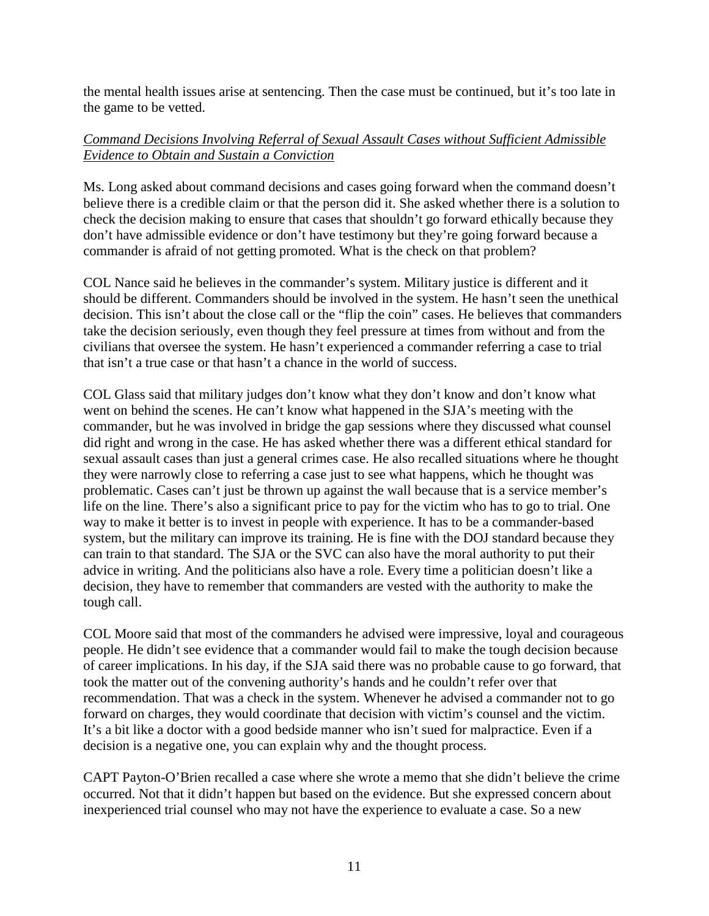the mental health issues arise at sentencing. Then the case must be continued, but it's too late in the game to be vetted.

# *Command Decisions Involving Referral of Sexual Assault Cases without Sufficient Admissible Evidence to Obtain and Sustain a Conviction*

Ms. Long asked about command decisions and cases going forward when the command doesn't believe there is a credible claim or that the person did it. She asked whether there is a solution to check the decision making to ensure that cases that shouldn't go forward ethically because they don't have admissible evidence or don't have testimony but they're going forward because a commander is afraid of not getting promoted. What is the check on that problem?

COL Nance said he believes in the commander's system. Military justice is different and it should be different. Commanders should be involved in the system. He hasn't seen the unethical decision. This isn't about the close call or the "flip the coin" cases. He believes that commanders take the decision seriously, even though they feel pressure at times from without and from the civilians that oversee the system. He hasn't experienced a commander referring a case to trial that isn't a true case or that hasn't a chance in the world of success.

COL Glass said that military judges don't know what they don't know and don't know what went on behind the scenes. He can't know what happened in the SJA's meeting with the commander, but he was involved in bridge the gap sessions where they discussed what counsel did right and wrong in the case. He has asked whether there was a different ethical standard for sexual assault cases than just a general crimes case. He also recalled situations where he thought they were narrowly close to referring a case just to see what happens, which he thought was problematic. Cases can't just be thrown up against the wall because that is a service member's life on the line. There's also a significant price to pay for the victim who has to go to trial. One way to make it better is to invest in people with experience. It has to be a commander-based system, but the military can improve its training. He is fine with the DOJ standard because they can train to that standard. The SJA or the SVC can also have the moral authority to put their advice in writing. And the politicians also have a role. Every time a politician doesn't like a decision, they have to remember that commanders are vested with the authority to make the tough call.

COL Moore said that most of the commanders he advised were impressive, loyal and courageous people. He didn't see evidence that a commander would fail to make the tough decision because of career implications. In his day, if the SJA said there was no probable cause to go forward, that took the matter out of the convening authority's hands and he couldn't refer over that recommendation. That was a check in the system. Whenever he advised a commander not to go forward on charges, they would coordinate that decision with victim's counsel and the victim. It's a bit like a doctor with a good bedside manner who isn't sued for malpractice. Even if a decision is a negative one, you can explain why and the thought process.

CAPT Payton-O'Brien recalled a case where she wrote a memo that she didn't believe the crime occurred. Not that it didn't happen but based on the evidence. But she expressed concern about inexperienced trial counsel who may not have the experience to evaluate a case. So a new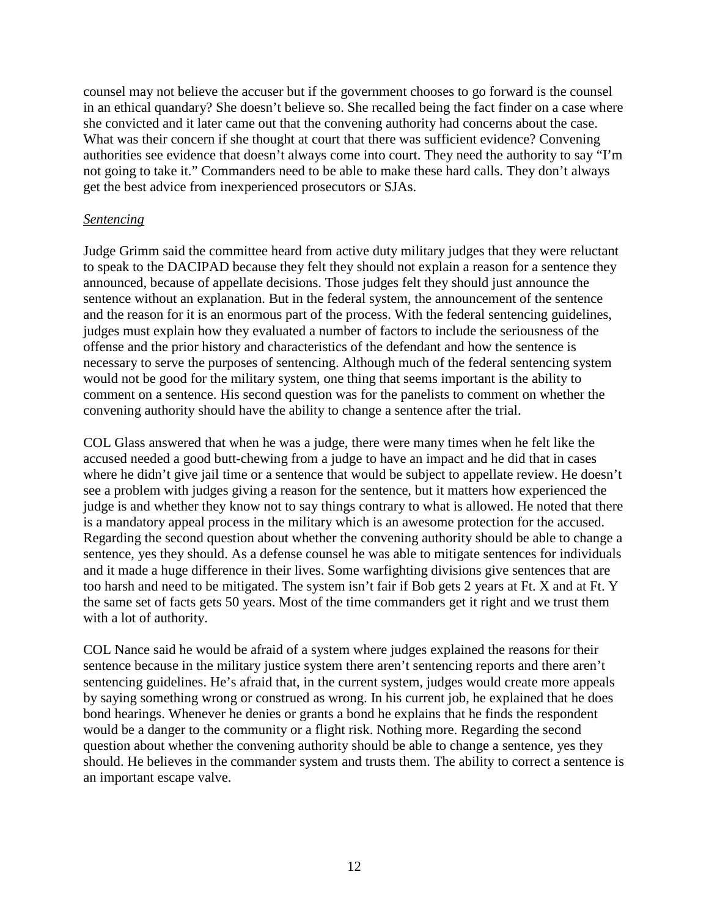counsel may not believe the accuser but if the government chooses to go forward is the counsel in an ethical quandary? She doesn't believe so. She recalled being the fact finder on a case where she convicted and it later came out that the convening authority had concerns about the case. What was their concern if she thought at court that there was sufficient evidence? Convening authorities see evidence that doesn't always come into court. They need the authority to say "I'm not going to take it." Commanders need to be able to make these hard calls. They don't always get the best advice from inexperienced prosecutors or SJAs.

### *Sentencing*

Judge Grimm said the committee heard from active duty military judges that they were reluctant to speak to the DACIPAD because they felt they should not explain a reason for a sentence they announced, because of appellate decisions. Those judges felt they should just announce the sentence without an explanation. But in the federal system, the announcement of the sentence and the reason for it is an enormous part of the process. With the federal sentencing guidelines, judges must explain how they evaluated a number of factors to include the seriousness of the offense and the prior history and characteristics of the defendant and how the sentence is necessary to serve the purposes of sentencing. Although much of the federal sentencing system would not be good for the military system, one thing that seems important is the ability to comment on a sentence. His second question was for the panelists to comment on whether the convening authority should have the ability to change a sentence after the trial.

COL Glass answered that when he was a judge, there were many times when he felt like the accused needed a good butt-chewing from a judge to have an impact and he did that in cases where he didn't give jail time or a sentence that would be subject to appellate review. He doesn't see a problem with judges giving a reason for the sentence, but it matters how experienced the judge is and whether they know not to say things contrary to what is allowed. He noted that there is a mandatory appeal process in the military which is an awesome protection for the accused. Regarding the second question about whether the convening authority should be able to change a sentence, yes they should. As a defense counsel he was able to mitigate sentences for individuals and it made a huge difference in their lives. Some warfighting divisions give sentences that are too harsh and need to be mitigated. The system isn't fair if Bob gets 2 years at Ft. X and at Ft. Y the same set of facts gets 50 years. Most of the time commanders get it right and we trust them with a lot of authority.

COL Nance said he would be afraid of a system where judges explained the reasons for their sentence because in the military justice system there aren't sentencing reports and there aren't sentencing guidelines. He's afraid that, in the current system, judges would create more appeals by saying something wrong or construed as wrong. In his current job, he explained that he does bond hearings. Whenever he denies or grants a bond he explains that he finds the respondent would be a danger to the community or a flight risk. Nothing more. Regarding the second question about whether the convening authority should be able to change a sentence, yes they should. He believes in the commander system and trusts them. The ability to correct a sentence is an important escape valve.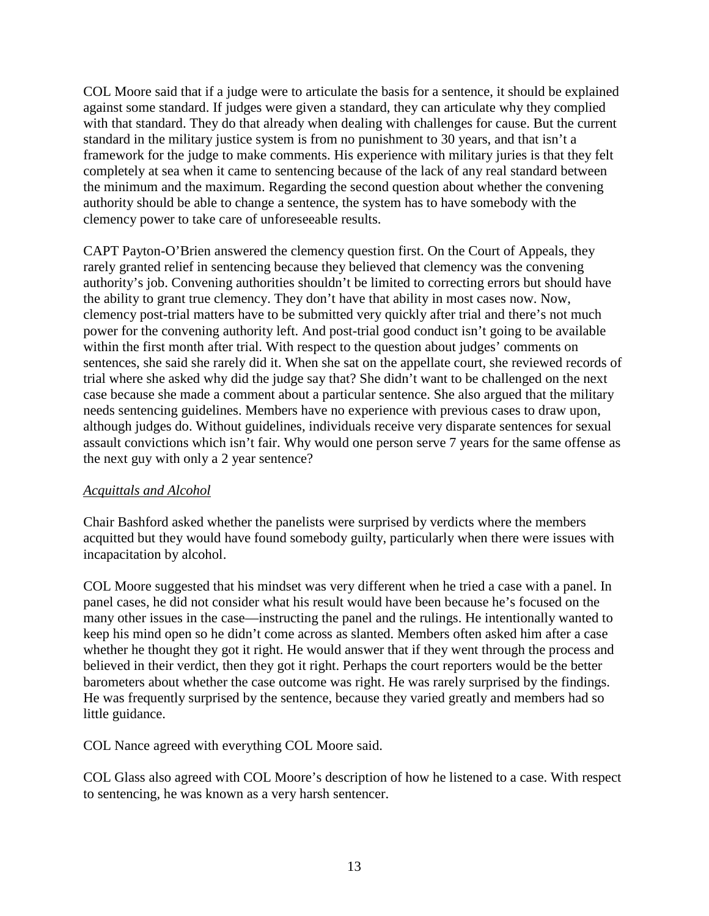COL Moore said that if a judge were to articulate the basis for a sentence, it should be explained against some standard. If judges were given a standard, they can articulate why they complied with that standard. They do that already when dealing with challenges for cause. But the current standard in the military justice system is from no punishment to 30 years, and that isn't a framework for the judge to make comments. His experience with military juries is that they felt completely at sea when it came to sentencing because of the lack of any real standard between the minimum and the maximum. Regarding the second question about whether the convening authority should be able to change a sentence, the system has to have somebody with the clemency power to take care of unforeseeable results.

CAPT Payton-O'Brien answered the clemency question first. On the Court of Appeals, they rarely granted relief in sentencing because they believed that clemency was the convening authority's job. Convening authorities shouldn't be limited to correcting errors but should have the ability to grant true clemency. They don't have that ability in most cases now. Now, clemency post-trial matters have to be submitted very quickly after trial and there's not much power for the convening authority left. And post-trial good conduct isn't going to be available within the first month after trial. With respect to the question about judges' comments on sentences, she said she rarely did it. When she sat on the appellate court, she reviewed records of trial where she asked why did the judge say that? She didn't want to be challenged on the next case because she made a comment about a particular sentence. She also argued that the military needs sentencing guidelines. Members have no experience with previous cases to draw upon, although judges do. Without guidelines, individuals receive very disparate sentences for sexual assault convictions which isn't fair. Why would one person serve 7 years for the same offense as the next guy with only a 2 year sentence?

# *Acquittals and Alcohol*

Chair Bashford asked whether the panelists were surprised by verdicts where the members acquitted but they would have found somebody guilty, particularly when there were issues with incapacitation by alcohol.

COL Moore suggested that his mindset was very different when he tried a case with a panel. In panel cases, he did not consider what his result would have been because he's focused on the many other issues in the case—instructing the panel and the rulings. He intentionally wanted to keep his mind open so he didn't come across as slanted. Members often asked him after a case whether he thought they got it right. He would answer that if they went through the process and believed in their verdict, then they got it right. Perhaps the court reporters would be the better barometers about whether the case outcome was right. He was rarely surprised by the findings. He was frequently surprised by the sentence, because they varied greatly and members had so little guidance.

COL Nance agreed with everything COL Moore said.

COL Glass also agreed with COL Moore's description of how he listened to a case. With respect to sentencing, he was known as a very harsh sentencer.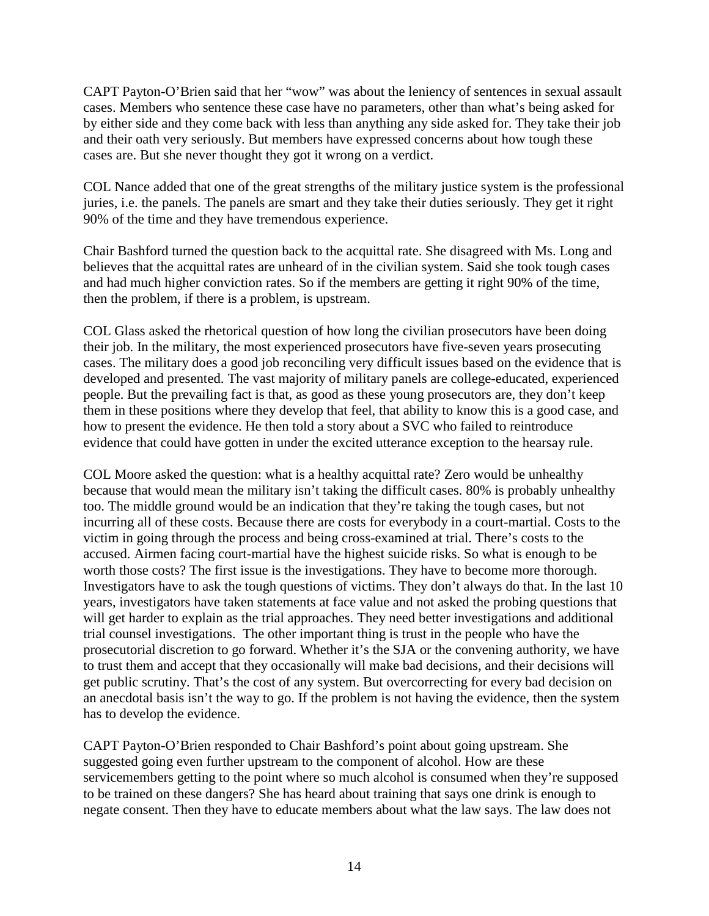CAPT Payton-O'Brien said that her "wow" was about the leniency of sentences in sexual assault cases. Members who sentence these case have no parameters, other than what's being asked for by either side and they come back with less than anything any side asked for. They take their job and their oath very seriously. But members have expressed concerns about how tough these cases are. But she never thought they got it wrong on a verdict.

COL Nance added that one of the great strengths of the military justice system is the professional juries, i.e. the panels. The panels are smart and they take their duties seriously. They get it right 90% of the time and they have tremendous experience.

Chair Bashford turned the question back to the acquittal rate. She disagreed with Ms. Long and believes that the acquittal rates are unheard of in the civilian system. Said she took tough cases and had much higher conviction rates. So if the members are getting it right 90% of the time, then the problem, if there is a problem, is upstream.

COL Glass asked the rhetorical question of how long the civilian prosecutors have been doing their job. In the military, the most experienced prosecutors have five-seven years prosecuting cases. The military does a good job reconciling very difficult issues based on the evidence that is developed and presented. The vast majority of military panels are college-educated, experienced people. But the prevailing fact is that, as good as these young prosecutors are, they don't keep them in these positions where they develop that feel, that ability to know this is a good case, and how to present the evidence. He then told a story about a SVC who failed to reintroduce evidence that could have gotten in under the excited utterance exception to the hearsay rule.

COL Moore asked the question: what is a healthy acquittal rate? Zero would be unhealthy because that would mean the military isn't taking the difficult cases. 80% is probably unhealthy too. The middle ground would be an indication that they're taking the tough cases, but not incurring all of these costs. Because there are costs for everybody in a court-martial. Costs to the victim in going through the process and being cross-examined at trial. There's costs to the accused. Airmen facing court-martial have the highest suicide risks. So what is enough to be worth those costs? The first issue is the investigations. They have to become more thorough. Investigators have to ask the tough questions of victims. They don't always do that. In the last 10 years, investigators have taken statements at face value and not asked the probing questions that will get harder to explain as the trial approaches. They need better investigations and additional trial counsel investigations. The other important thing is trust in the people who have the prosecutorial discretion to go forward. Whether it's the SJA or the convening authority, we have to trust them and accept that they occasionally will make bad decisions, and their decisions will get public scrutiny. That's the cost of any system. But overcorrecting for every bad decision on an anecdotal basis isn't the way to go. If the problem is not having the evidence, then the system has to develop the evidence.

CAPT Payton-O'Brien responded to Chair Bashford's point about going upstream. She suggested going even further upstream to the component of alcohol. How are these servicemembers getting to the point where so much alcohol is consumed when they're supposed to be trained on these dangers? She has heard about training that says one drink is enough to negate consent. Then they have to educate members about what the law says. The law does not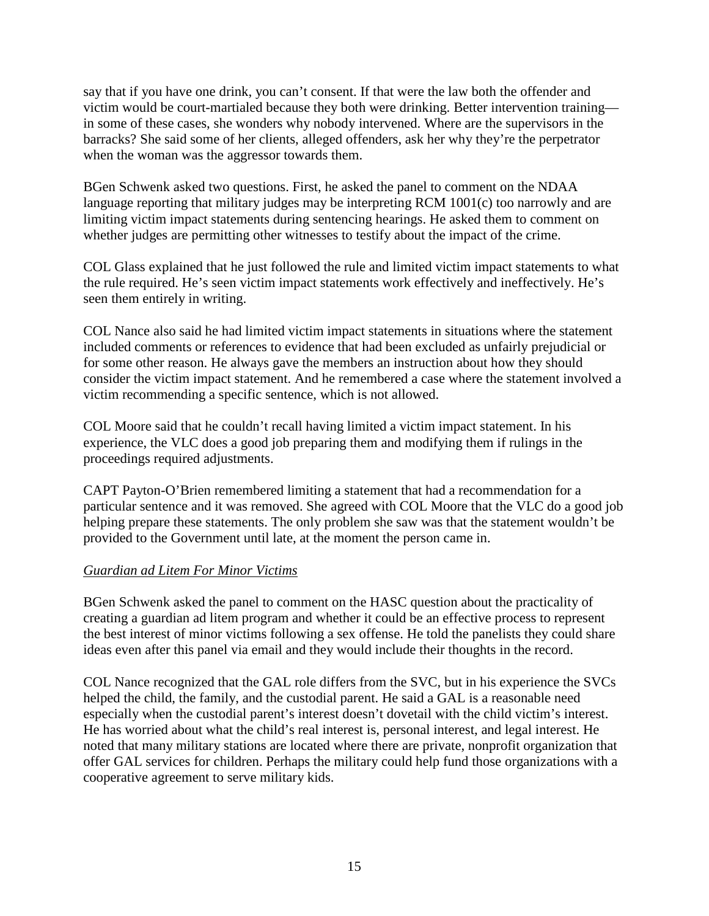say that if you have one drink, you can't consent. If that were the law both the offender and victim would be court-martialed because they both were drinking. Better intervention training in some of these cases, she wonders why nobody intervened. Where are the supervisors in the barracks? She said some of her clients, alleged offenders, ask her why they're the perpetrator when the woman was the aggressor towards them.

BGen Schwenk asked two questions. First, he asked the panel to comment on the NDAA language reporting that military judges may be interpreting RCM 1001(c) too narrowly and are limiting victim impact statements during sentencing hearings. He asked them to comment on whether judges are permitting other witnesses to testify about the impact of the crime.

COL Glass explained that he just followed the rule and limited victim impact statements to what the rule required. He's seen victim impact statements work effectively and ineffectively. He's seen them entirely in writing.

COL Nance also said he had limited victim impact statements in situations where the statement included comments or references to evidence that had been excluded as unfairly prejudicial or for some other reason. He always gave the members an instruction about how they should consider the victim impact statement. And he remembered a case where the statement involved a victim recommending a specific sentence, which is not allowed.

COL Moore said that he couldn't recall having limited a victim impact statement. In his experience, the VLC does a good job preparing them and modifying them if rulings in the proceedings required adjustments.

CAPT Payton-O'Brien remembered limiting a statement that had a recommendation for a particular sentence and it was removed. She agreed with COL Moore that the VLC do a good job helping prepare these statements. The only problem she saw was that the statement wouldn't be provided to the Government until late, at the moment the person came in.

# *Guardian ad Litem For Minor Victims*

BGen Schwenk asked the panel to comment on the HASC question about the practicality of creating a guardian ad litem program and whether it could be an effective process to represent the best interest of minor victims following a sex offense. He told the panelists they could share ideas even after this panel via email and they would include their thoughts in the record.

COL Nance recognized that the GAL role differs from the SVC, but in his experience the SVCs helped the child, the family, and the custodial parent. He said a GAL is a reasonable need especially when the custodial parent's interest doesn't dovetail with the child victim's interest. He has worried about what the child's real interest is, personal interest, and legal interest. He noted that many military stations are located where there are private, nonprofit organization that offer GAL services for children. Perhaps the military could help fund those organizations with a cooperative agreement to serve military kids.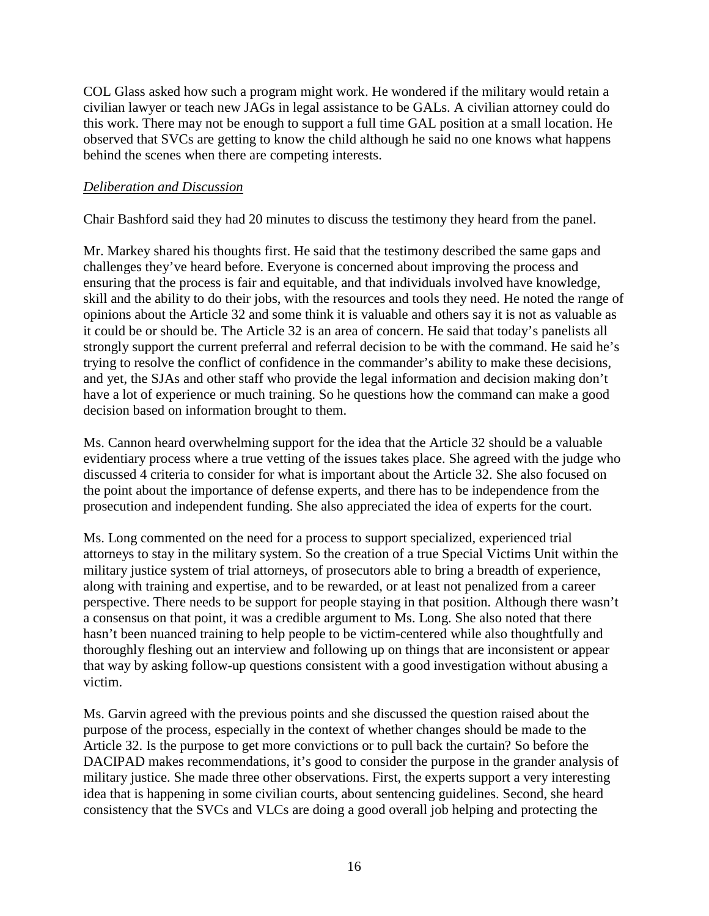COL Glass asked how such a program might work. He wondered if the military would retain a civilian lawyer or teach new JAGs in legal assistance to be GALs. A civilian attorney could do this work. There may not be enough to support a full time GAL position at a small location. He observed that SVCs are getting to know the child although he said no one knows what happens behind the scenes when there are competing interests.

### *Deliberation and Discussion*

Chair Bashford said they had 20 minutes to discuss the testimony they heard from the panel.

Mr. Markey shared his thoughts first. He said that the testimony described the same gaps and challenges they've heard before. Everyone is concerned about improving the process and ensuring that the process is fair and equitable, and that individuals involved have knowledge, skill and the ability to do their jobs, with the resources and tools they need. He noted the range of opinions about the Article 32 and some think it is valuable and others say it is not as valuable as it could be or should be. The Article 32 is an area of concern. He said that today's panelists all strongly support the current preferral and referral decision to be with the command. He said he's trying to resolve the conflict of confidence in the commander's ability to make these decisions, and yet, the SJAs and other staff who provide the legal information and decision making don't have a lot of experience or much training. So he questions how the command can make a good decision based on information brought to them.

Ms. Cannon heard overwhelming support for the idea that the Article 32 should be a valuable evidentiary process where a true vetting of the issues takes place. She agreed with the judge who discussed 4 criteria to consider for what is important about the Article 32. She also focused on the point about the importance of defense experts, and there has to be independence from the prosecution and independent funding. She also appreciated the idea of experts for the court.

Ms. Long commented on the need for a process to support specialized, experienced trial attorneys to stay in the military system. So the creation of a true Special Victims Unit within the military justice system of trial attorneys, of prosecutors able to bring a breadth of experience, along with training and expertise, and to be rewarded, or at least not penalized from a career perspective. There needs to be support for people staying in that position. Although there wasn't a consensus on that point, it was a credible argument to Ms. Long. She also noted that there hasn't been nuanced training to help people to be victim-centered while also thoughtfully and thoroughly fleshing out an interview and following up on things that are inconsistent or appear that way by asking follow-up questions consistent with a good investigation without abusing a victim.

Ms. Garvin agreed with the previous points and she discussed the question raised about the purpose of the process, especially in the context of whether changes should be made to the Article 32. Is the purpose to get more convictions or to pull back the curtain? So before the DACIPAD makes recommendations, it's good to consider the purpose in the grander analysis of military justice. She made three other observations. First, the experts support a very interesting idea that is happening in some civilian courts, about sentencing guidelines. Second, she heard consistency that the SVCs and VLCs are doing a good overall job helping and protecting the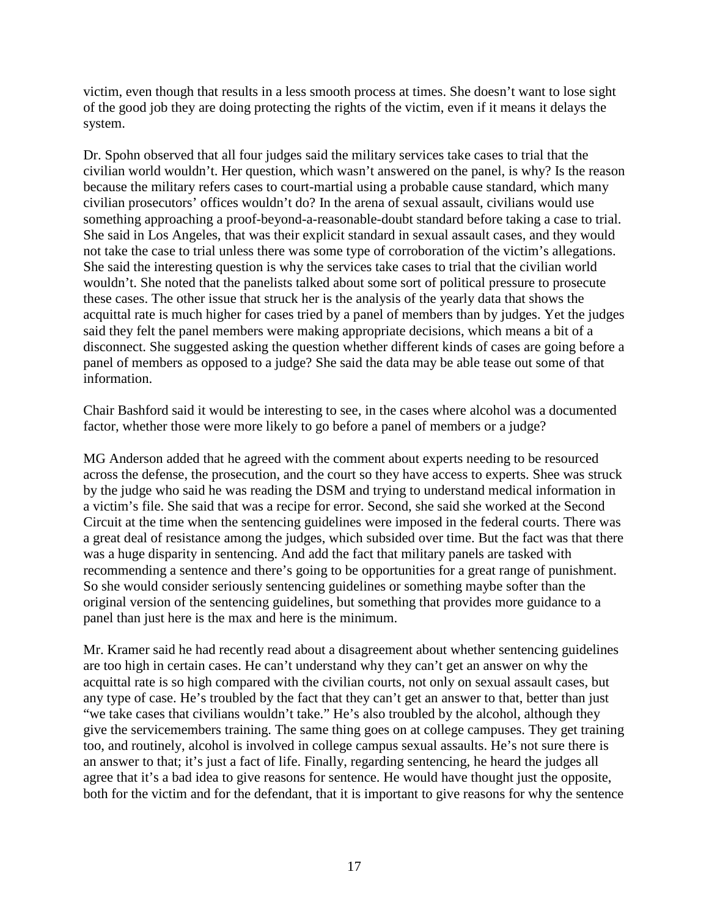victim, even though that results in a less smooth process at times. She doesn't want to lose sight of the good job they are doing protecting the rights of the victim, even if it means it delays the system.

Dr. Spohn observed that all four judges said the military services take cases to trial that the civilian world wouldn't. Her question, which wasn't answered on the panel, is why? Is the reason because the military refers cases to court-martial using a probable cause standard, which many civilian prosecutors' offices wouldn't do? In the arena of sexual assault, civilians would use something approaching a proof-beyond-a-reasonable-doubt standard before taking a case to trial. She said in Los Angeles, that was their explicit standard in sexual assault cases, and they would not take the case to trial unless there was some type of corroboration of the victim's allegations. She said the interesting question is why the services take cases to trial that the civilian world wouldn't. She noted that the panelists talked about some sort of political pressure to prosecute these cases. The other issue that struck her is the analysis of the yearly data that shows the acquittal rate is much higher for cases tried by a panel of members than by judges. Yet the judges said they felt the panel members were making appropriate decisions, which means a bit of a disconnect. She suggested asking the question whether different kinds of cases are going before a panel of members as opposed to a judge? She said the data may be able tease out some of that information.

Chair Bashford said it would be interesting to see, in the cases where alcohol was a documented factor, whether those were more likely to go before a panel of members or a judge?

MG Anderson added that he agreed with the comment about experts needing to be resourced across the defense, the prosecution, and the court so they have access to experts. Shee was struck by the judge who said he was reading the DSM and trying to understand medical information in a victim's file. She said that was a recipe for error. Second, she said she worked at the Second Circuit at the time when the sentencing guidelines were imposed in the federal courts. There was a great deal of resistance among the judges, which subsided over time. But the fact was that there was a huge disparity in sentencing. And add the fact that military panels are tasked with recommending a sentence and there's going to be opportunities for a great range of punishment. So she would consider seriously sentencing guidelines or something maybe softer than the original version of the sentencing guidelines, but something that provides more guidance to a panel than just here is the max and here is the minimum.

Mr. Kramer said he had recently read about a disagreement about whether sentencing guidelines are too high in certain cases. He can't understand why they can't get an answer on why the acquittal rate is so high compared with the civilian courts, not only on sexual assault cases, but any type of case. He's troubled by the fact that they can't get an answer to that, better than just "we take cases that civilians wouldn't take." He's also troubled by the alcohol, although they give the servicemembers training. The same thing goes on at college campuses. They get training too, and routinely, alcohol is involved in college campus sexual assaults. He's not sure there is an answer to that; it's just a fact of life. Finally, regarding sentencing, he heard the judges all agree that it's a bad idea to give reasons for sentence. He would have thought just the opposite, both for the victim and for the defendant, that it is important to give reasons for why the sentence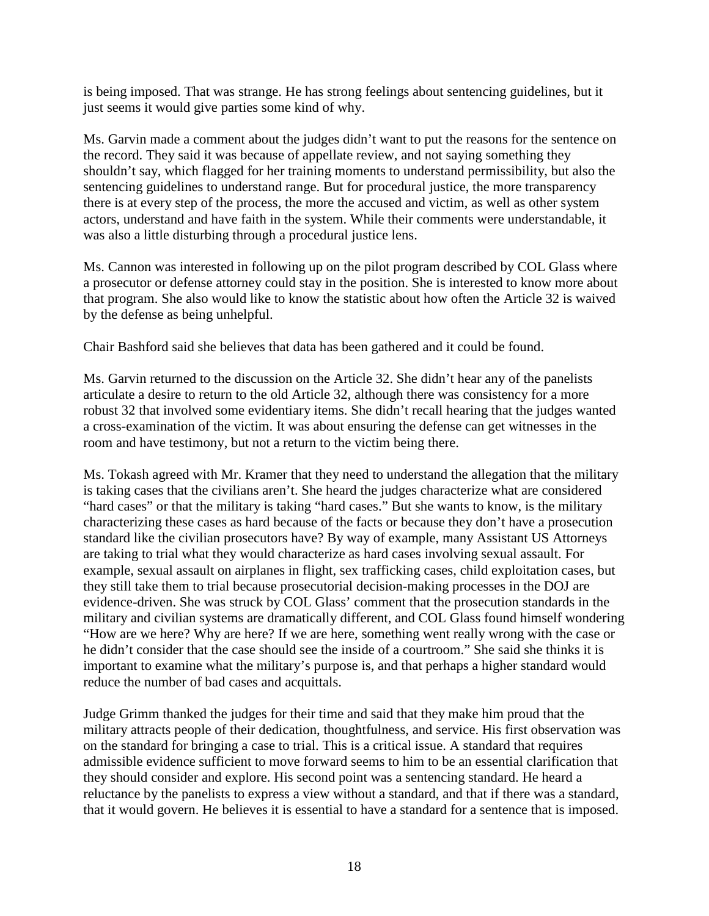is being imposed. That was strange. He has strong feelings about sentencing guidelines, but it just seems it would give parties some kind of why.

Ms. Garvin made a comment about the judges didn't want to put the reasons for the sentence on the record. They said it was because of appellate review, and not saying something they shouldn't say, which flagged for her training moments to understand permissibility, but also the sentencing guidelines to understand range. But for procedural justice, the more transparency there is at every step of the process, the more the accused and victim, as well as other system actors, understand and have faith in the system. While their comments were understandable, it was also a little disturbing through a procedural justice lens.

Ms. Cannon was interested in following up on the pilot program described by COL Glass where a prosecutor or defense attorney could stay in the position. She is interested to know more about that program. She also would like to know the statistic about how often the Article 32 is waived by the defense as being unhelpful.

Chair Bashford said she believes that data has been gathered and it could be found.

Ms. Garvin returned to the discussion on the Article 32. She didn't hear any of the panelists articulate a desire to return to the old Article 32, although there was consistency for a more robust 32 that involved some evidentiary items. She didn't recall hearing that the judges wanted a cross-examination of the victim. It was about ensuring the defense can get witnesses in the room and have testimony, but not a return to the victim being there.

Ms. Tokash agreed with Mr. Kramer that they need to understand the allegation that the military is taking cases that the civilians aren't. She heard the judges characterize what are considered "hard cases" or that the military is taking "hard cases." But she wants to know, is the military characterizing these cases as hard because of the facts or because they don't have a prosecution standard like the civilian prosecutors have? By way of example, many Assistant US Attorneys are taking to trial what they would characterize as hard cases involving sexual assault. For example, sexual assault on airplanes in flight, sex trafficking cases, child exploitation cases, but they still take them to trial because prosecutorial decision-making processes in the DOJ are evidence-driven. She was struck by COL Glass' comment that the prosecution standards in the military and civilian systems are dramatically different, and COL Glass found himself wondering "How are we here? Why are here? If we are here, something went really wrong with the case or he didn't consider that the case should see the inside of a courtroom." She said she thinks it is important to examine what the military's purpose is, and that perhaps a higher standard would reduce the number of bad cases and acquittals.

Judge Grimm thanked the judges for their time and said that they make him proud that the military attracts people of their dedication, thoughtfulness, and service. His first observation was on the standard for bringing a case to trial. This is a critical issue. A standard that requires admissible evidence sufficient to move forward seems to him to be an essential clarification that they should consider and explore. His second point was a sentencing standard. He heard a reluctance by the panelists to express a view without a standard, and that if there was a standard, that it would govern. He believes it is essential to have a standard for a sentence that is imposed.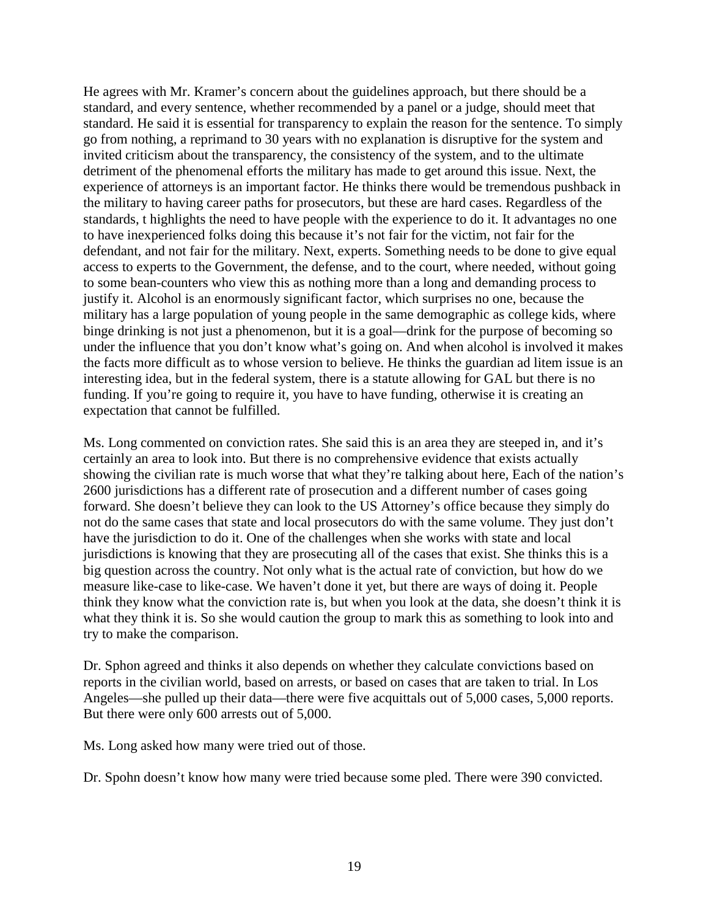He agrees with Mr. Kramer's concern about the guidelines approach, but there should be a standard, and every sentence, whether recommended by a panel or a judge, should meet that standard. He said it is essential for transparency to explain the reason for the sentence. To simply go from nothing, a reprimand to 30 years with no explanation is disruptive for the system and invited criticism about the transparency, the consistency of the system, and to the ultimate detriment of the phenomenal efforts the military has made to get around this issue. Next, the experience of attorneys is an important factor. He thinks there would be tremendous pushback in the military to having career paths for prosecutors, but these are hard cases. Regardless of the standards, t highlights the need to have people with the experience to do it. It advantages no one to have inexperienced folks doing this because it's not fair for the victim, not fair for the defendant, and not fair for the military. Next, experts. Something needs to be done to give equal access to experts to the Government, the defense, and to the court, where needed, without going to some bean-counters who view this as nothing more than a long and demanding process to justify it. Alcohol is an enormously significant factor, which surprises no one, because the military has a large population of young people in the same demographic as college kids, where binge drinking is not just a phenomenon, but it is a goal—drink for the purpose of becoming so under the influence that you don't know what's going on. And when alcohol is involved it makes the facts more difficult as to whose version to believe. He thinks the guardian ad litem issue is an interesting idea, but in the federal system, there is a statute allowing for GAL but there is no funding. If you're going to require it, you have to have funding, otherwise it is creating an expectation that cannot be fulfilled.

Ms. Long commented on conviction rates. She said this is an area they are steeped in, and it's certainly an area to look into. But there is no comprehensive evidence that exists actually showing the civilian rate is much worse that what they're talking about here, Each of the nation's 2600 jurisdictions has a different rate of prosecution and a different number of cases going forward. She doesn't believe they can look to the US Attorney's office because they simply do not do the same cases that state and local prosecutors do with the same volume. They just don't have the jurisdiction to do it. One of the challenges when she works with state and local jurisdictions is knowing that they are prosecuting all of the cases that exist. She thinks this is a big question across the country. Not only what is the actual rate of conviction, but how do we measure like-case to like-case. We haven't done it yet, but there are ways of doing it. People think they know what the conviction rate is, but when you look at the data, she doesn't think it is what they think it is. So she would caution the group to mark this as something to look into and try to make the comparison.

Dr. Sphon agreed and thinks it also depends on whether they calculate convictions based on reports in the civilian world, based on arrests, or based on cases that are taken to trial. In Los Angeles—she pulled up their data—there were five acquittals out of 5,000 cases, 5,000 reports. But there were only 600 arrests out of 5,000.

Ms. Long asked how many were tried out of those.

Dr. Spohn doesn't know how many were tried because some pled. There were 390 convicted.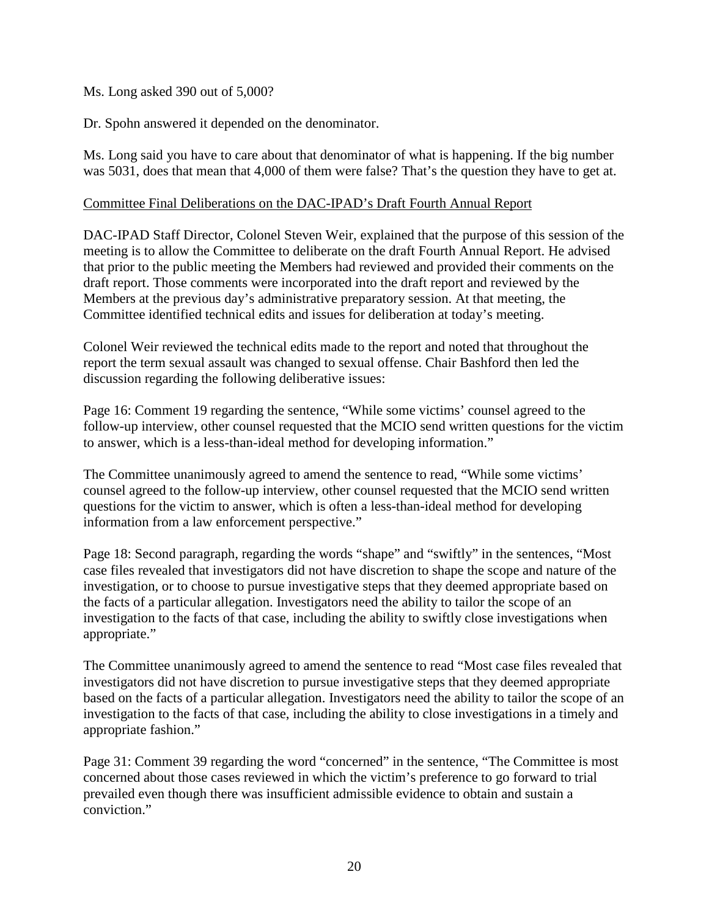### Ms. Long asked 390 out of 5,000?

Dr. Spohn answered it depended on the denominator.

Ms. Long said you have to care about that denominator of what is happening. If the big number was 5031, does that mean that 4,000 of them were false? That's the question they have to get at.

### Committee Final Deliberations on the DAC-IPAD's Draft Fourth Annual Report

DAC-IPAD Staff Director, Colonel Steven Weir, explained that the purpose of this session of the meeting is to allow the Committee to deliberate on the draft Fourth Annual Report. He advised that prior to the public meeting the Members had reviewed and provided their comments on the draft report. Those comments were incorporated into the draft report and reviewed by the Members at the previous day's administrative preparatory session. At that meeting, the Committee identified technical edits and issues for deliberation at today's meeting.

Colonel Weir reviewed the technical edits made to the report and noted that throughout the report the term sexual assault was changed to sexual offense. Chair Bashford then led the discussion regarding the following deliberative issues:

Page 16: Comment 19 regarding the sentence, "While some victims' counsel agreed to the follow-up interview, other counsel requested that the MCIO send written questions for the victim to answer, which is a less-than-ideal method for developing information."

The Committee unanimously agreed to amend the sentence to read, "While some victims' counsel agreed to the follow-up interview, other counsel requested that the MCIO send written questions for the victim to answer, which is often a less-than-ideal method for developing information from a law enforcement perspective."

Page 18: Second paragraph*,* regarding the words "shape" and "swiftly" in the sentences, "Most case files revealed that investigators did not have discretion to shape the scope and nature of the investigation, or to choose to pursue investigative steps that they deemed appropriate based on the facts of a particular allegation. Investigators need the ability to tailor the scope of an investigation to the facts of that case, including the ability to swiftly close investigations when appropriate."

The Committee unanimously agreed to amend the sentence to read "Most case files revealed that investigators did not have discretion to pursue investigative steps that they deemed appropriate based on the facts of a particular allegation. Investigators need the ability to tailor the scope of an investigation to the facts of that case, including the ability to close investigations in a timely and appropriate fashion."

Page 31: Comment 39 regarding the word "concerned" in the sentence, "The Committee is most concerned about those cases reviewed in which the victim's preference to go forward to trial prevailed even though there was insufficient admissible evidence to obtain and sustain a conviction."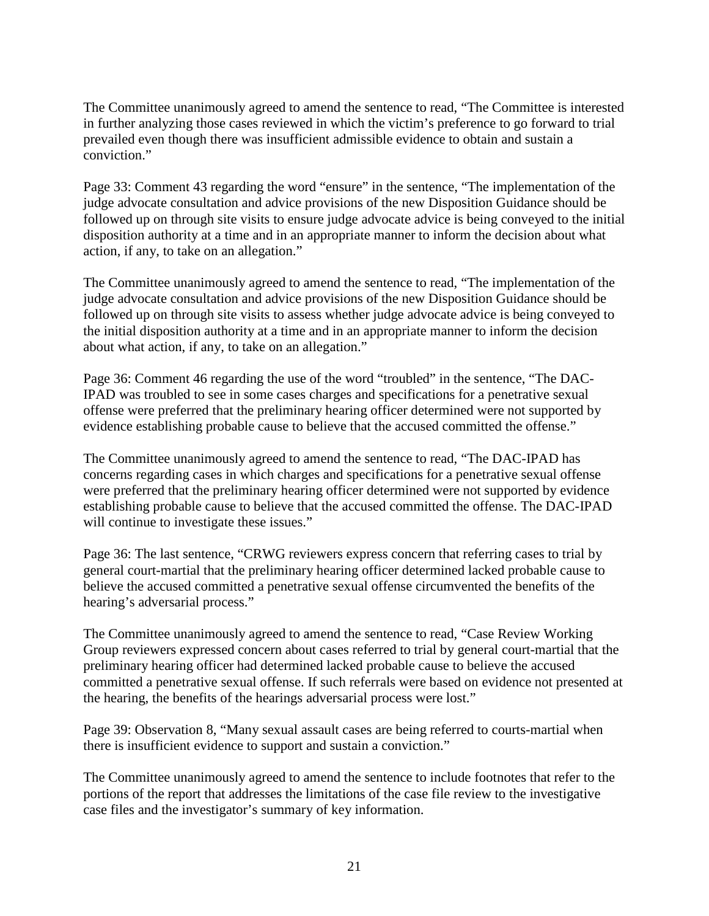The Committee unanimously agreed to amend the sentence to read, "The Committee is interested in further analyzing those cases reviewed in which the victim's preference to go forward to trial prevailed even though there was insufficient admissible evidence to obtain and sustain a conviction."

Page 33: Comment 43 regarding the word "ensure" in the sentence, "The implementation of the judge advocate consultation and advice provisions of the new Disposition Guidance should be followed up on through site visits to ensure judge advocate advice is being conveyed to the initial disposition authority at a time and in an appropriate manner to inform the decision about what action, if any, to take on an allegation."

The Committee unanimously agreed to amend the sentence to read, "The implementation of the judge advocate consultation and advice provisions of the new Disposition Guidance should be followed up on through site visits to assess whether judge advocate advice is being conveyed to the initial disposition authority at a time and in an appropriate manner to inform the decision about what action, if any, to take on an allegation."

Page 36: Comment 46 regarding the use of the word "troubled" in the sentence, "The DAC-IPAD was troubled to see in some cases charges and specifications for a penetrative sexual offense were preferred that the preliminary hearing officer determined were not supported by evidence establishing probable cause to believe that the accused committed the offense."

The Committee unanimously agreed to amend the sentence to read, "The DAC-IPAD has concerns regarding cases in which charges and specifications for a penetrative sexual offense were preferred that the preliminary hearing officer determined were not supported by evidence establishing probable cause to believe that the accused committed the offense. The DAC-IPAD will continue to investigate these issues."

Page 36: The last sentence, "CRWG reviewers express concern that referring cases to trial by general court-martial that the preliminary hearing officer determined lacked probable cause to believe the accused committed a penetrative sexual offense circumvented the benefits of the hearing's adversarial process."

The Committee unanimously agreed to amend the sentence to read, "Case Review Working Group reviewers expressed concern about cases referred to trial by general court-martial that the preliminary hearing officer had determined lacked probable cause to believe the accused committed a penetrative sexual offense. If such referrals were based on evidence not presented at the hearing, the benefits of the hearings adversarial process were lost."

Page 39: Observation 8, "Many sexual assault cases are being referred to courts-martial when there is insufficient evidence to support and sustain a conviction."

The Committee unanimously agreed to amend the sentence to include footnotes that refer to the portions of the report that addresses the limitations of the case file review to the investigative case files and the investigator's summary of key information.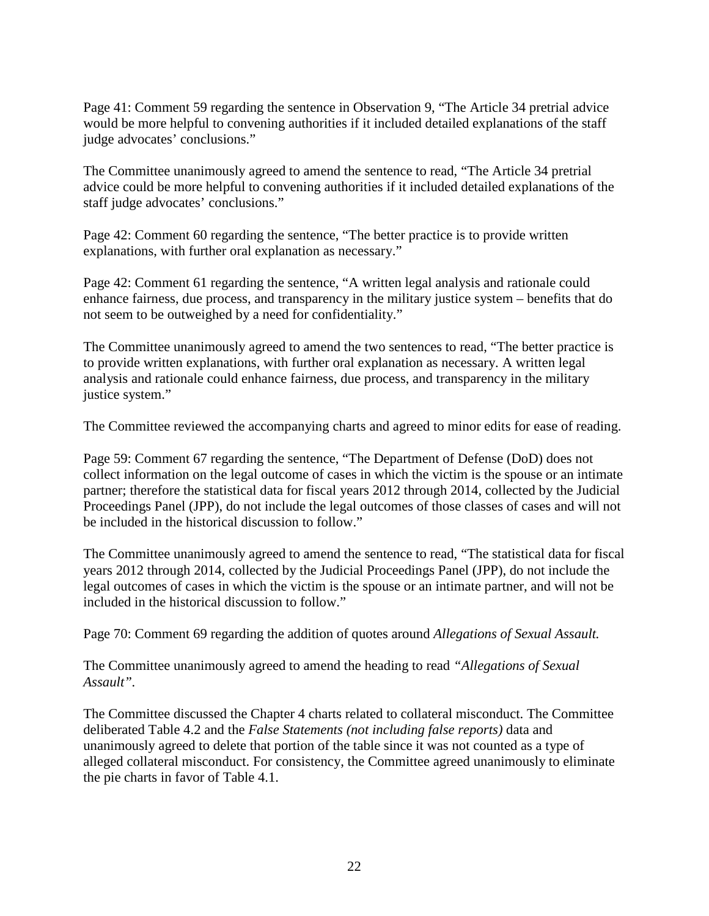Page 41: Comment 59 regarding the sentence in Observation 9, "The Article 34 pretrial advice would be more helpful to convening authorities if it included detailed explanations of the staff judge advocates' conclusions."

The Committee unanimously agreed to amend the sentence to read, "The Article 34 pretrial advice could be more helpful to convening authorities if it included detailed explanations of the staff judge advocates' conclusions."

Page 42: Comment 60 regarding the sentence, "The better practice is to provide written explanations, with further oral explanation as necessary."

Page 42: Comment 61 regarding the sentence, "A written legal analysis and rationale could enhance fairness, due process, and transparency in the military justice system – benefits that do not seem to be outweighed by a need for confidentiality."

The Committee unanimously agreed to amend the two sentences to read, "The better practice is to provide written explanations, with further oral explanation as necessary. A written legal analysis and rationale could enhance fairness, due process, and transparency in the military justice system."

The Committee reviewed the accompanying charts and agreed to minor edits for ease of reading.

Page 59: Comment 67 regarding the sentence, "The Department of Defense (DoD) does not collect information on the legal outcome of cases in which the victim is the spouse or an intimate partner; therefore the statistical data for fiscal years 2012 through 2014, collected by the Judicial Proceedings Panel (JPP), do not include the legal outcomes of those classes of cases and will not be included in the historical discussion to follow."

The Committee unanimously agreed to amend the sentence to read, "The statistical data for fiscal years 2012 through 2014, collected by the Judicial Proceedings Panel (JPP), do not include the legal outcomes of cases in which the victim is the spouse or an intimate partner, and will not be included in the historical discussion to follow."

Page 70: Comment 69 regarding the addition of quotes around *Allegations of Sexual Assault.*

The Committee unanimously agreed to amend the heading to read *"Allegations of Sexual Assault".*

The Committee discussed the Chapter 4 charts related to collateral misconduct. The Committee deliberated Table 4.2 and the *False Statements (not including false reports)* data and unanimously agreed to delete that portion of the table since it was not counted as a type of alleged collateral misconduct. For consistency, the Committee agreed unanimously to eliminate the pie charts in favor of Table 4.1.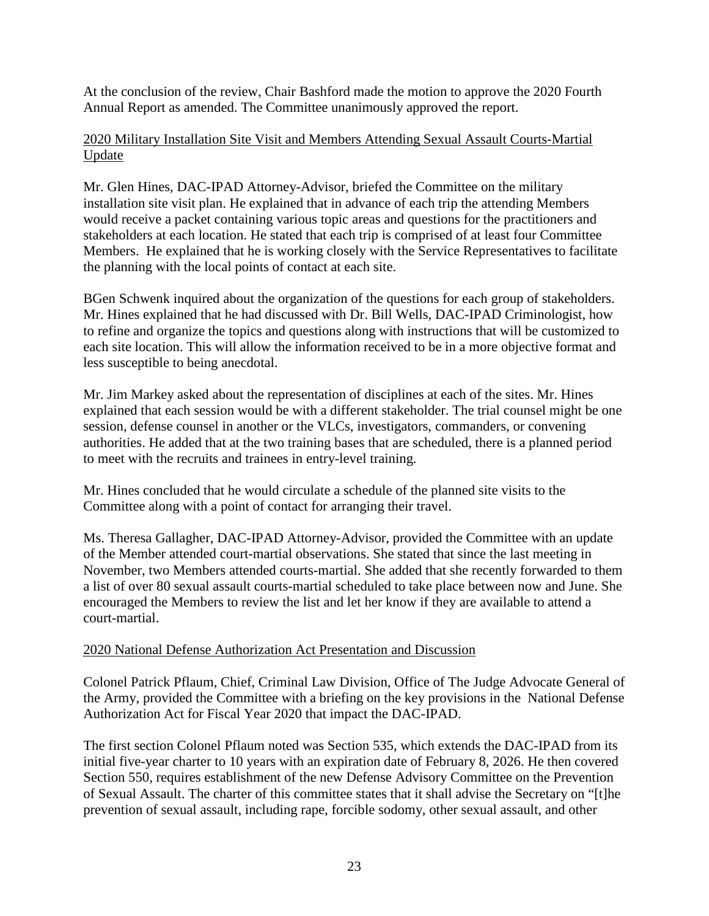At the conclusion of the review, Chair Bashford made the motion to approve the 2020 Fourth Annual Report as amended. The Committee unanimously approved the report.

### 2020 Military Installation Site Visit and Members Attending Sexual Assault Courts-Martial Update

Mr. Glen Hines, DAC-IPAD Attorney-Advisor, briefed the Committee on the military installation site visit plan. He explained that in advance of each trip the attending Members would receive a packet containing various topic areas and questions for the practitioners and stakeholders at each location. He stated that each trip is comprised of at least four Committee Members. He explained that he is working closely with the Service Representatives to facilitate the planning with the local points of contact at each site.

BGen Schwenk inquired about the organization of the questions for each group of stakeholders. Mr. Hines explained that he had discussed with Dr. Bill Wells, DAC-IPAD Criminologist, how to refine and organize the topics and questions along with instructions that will be customized to each site location. This will allow the information received to be in a more objective format and less susceptible to being anecdotal.

Mr. Jim Markey asked about the representation of disciplines at each of the sites. Mr. Hines explained that each session would be with a different stakeholder. The trial counsel might be one session, defense counsel in another or the VLCs, investigators, commanders, or convening authorities. He added that at the two training bases that are scheduled, there is a planned period to meet with the recruits and trainees in entry-level training.

Mr. Hines concluded that he would circulate a schedule of the planned site visits to the Committee along with a point of contact for arranging their travel.

Ms. Theresa Gallagher, DAC-IPAD Attorney-Advisor, provided the Committee with an update of the Member attended court-martial observations. She stated that since the last meeting in November, two Members attended courts-martial. She added that she recently forwarded to them a list of over 80 sexual assault courts-martial scheduled to take place between now and June. She encouraged the Members to review the list and let her know if they are available to attend a court-martial.

### 2020 National Defense Authorization Act Presentation and Discussion

Colonel Patrick Pflaum, Chief, Criminal Law Division, Office of The Judge Advocate General of the Army, provided the Committee with a briefing on the key provisions in the National Defense Authorization Act for Fiscal Year 2020 that impact the DAC-IPAD.

The first section Colonel Pflaum noted was Section 535, which extends the DAC-IPAD from its initial five-year charter to 10 years with an expiration date of February 8, 2026. He then covered Section 550, requires establishment of the new Defense Advisory Committee on the Prevention of Sexual Assault. The charter of this committee states that it shall advise the Secretary on "[t]he prevention of sexual assault, including rape, forcible sodomy, other sexual assault, and other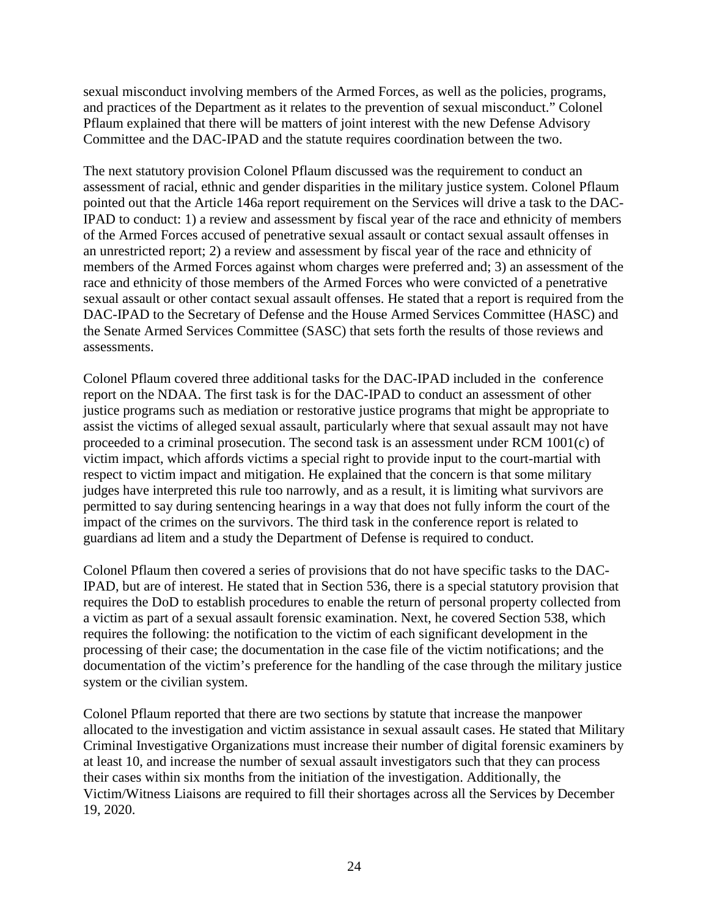sexual misconduct involving members of the Armed Forces, as well as the policies, programs, and practices of the Department as it relates to the prevention of sexual misconduct." Colonel Pflaum explained that there will be matters of joint interest with the new Defense Advisory Committee and the DAC-IPAD and the statute requires coordination between the two.

The next statutory provision Colonel Pflaum discussed was the requirement to conduct an assessment of racial, ethnic and gender disparities in the military justice system. Colonel Pflaum pointed out that the Article 146a report requirement on the Services will drive a task to the DAC-IPAD to conduct: 1) a review and assessment by fiscal year of the race and ethnicity of members of the Armed Forces accused of penetrative sexual assault or contact sexual assault offenses in an unrestricted report; 2) a review and assessment by fiscal year of the race and ethnicity of members of the Armed Forces against whom charges were preferred and; 3) an assessment of the race and ethnicity of those members of the Armed Forces who were convicted of a penetrative sexual assault or other contact sexual assault offenses. He stated that a report is required from the DAC-IPAD to the Secretary of Defense and the House Armed Services Committee (HASC) and the Senate Armed Services Committee (SASC) that sets forth the results of those reviews and assessments.

Colonel Pflaum covered three additional tasks for the DAC-IPAD included in the conference report on the NDAA. The first task is for the DAC-IPAD to conduct an assessment of other justice programs such as mediation or restorative justice programs that might be appropriate to assist the victims of alleged sexual assault, particularly where that sexual assault may not have proceeded to a criminal prosecution. The second task is an assessment under RCM 1001(c) of victim impact, which affords victims a special right to provide input to the court-martial with respect to victim impact and mitigation. He explained that the concern is that some military judges have interpreted this rule too narrowly, and as a result, it is limiting what survivors are permitted to say during sentencing hearings in a way that does not fully inform the court of the impact of the crimes on the survivors. The third task in the conference report is related to guardians ad litem and a study the Department of Defense is required to conduct.

Colonel Pflaum then covered a series of provisions that do not have specific tasks to the DAC-IPAD, but are of interest. He stated that in Section 536, there is a special statutory provision that requires the DoD to establish procedures to enable the return of personal property collected from a victim as part of a sexual assault forensic examination. Next, he covered Section 538, which requires the following: the notification to the victim of each significant development in the processing of their case; the documentation in the case file of the victim notifications; and the documentation of the victim's preference for the handling of the case through the military justice system or the civilian system.

Colonel Pflaum reported that there are two sections by statute that increase the manpower allocated to the investigation and victim assistance in sexual assault cases. He stated that Military Criminal Investigative Organizations must increase their number of digital forensic examiners by at least 10, and increase the number of sexual assault investigators such that they can process their cases within six months from the initiation of the investigation. Additionally, the Victim/Witness Liaisons are required to fill their shortages across all the Services by December 19, 2020.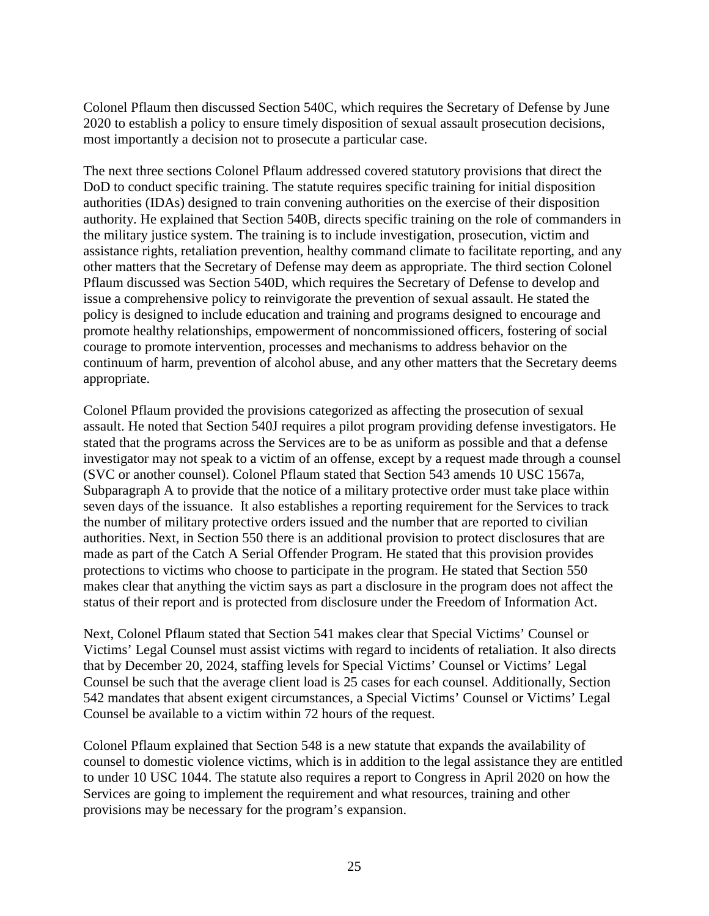Colonel Pflaum then discussed Section 540C, which requires the Secretary of Defense by June 2020 to establish a policy to ensure timely disposition of sexual assault prosecution decisions, most importantly a decision not to prosecute a particular case.

The next three sections Colonel Pflaum addressed covered statutory provisions that direct the DoD to conduct specific training. The statute requires specific training for initial disposition authorities (IDAs) designed to train convening authorities on the exercise of their disposition authority. He explained that Section 540B, directs specific training on the role of commanders in the military justice system. The training is to include investigation, prosecution, victim and assistance rights, retaliation prevention, healthy command climate to facilitate reporting, and any other matters that the Secretary of Defense may deem as appropriate. The third section Colonel Pflaum discussed was Section 540D, which requires the Secretary of Defense to develop and issue a comprehensive policy to reinvigorate the prevention of sexual assault. He stated the policy is designed to include education and training and programs designed to encourage and promote healthy relationships, empowerment of noncommissioned officers, fostering of social courage to promote intervention, processes and mechanisms to address behavior on the continuum of harm, prevention of alcohol abuse, and any other matters that the Secretary deems appropriate.

Colonel Pflaum provided the provisions categorized as affecting the prosecution of sexual assault. He noted that Section 540J requires a pilot program providing defense investigators. He stated that the programs across the Services are to be as uniform as possible and that a defense investigator may not speak to a victim of an offense, except by a request made through a counsel (SVC or another counsel). Colonel Pflaum stated that Section 543 amends 10 USC 1567a, Subparagraph A to provide that the notice of a military protective order must take place within seven days of the issuance. It also establishes a reporting requirement for the Services to track the number of military protective orders issued and the number that are reported to civilian authorities. Next, in Section 550 there is an additional provision to protect disclosures that are made as part of the Catch A Serial Offender Program. He stated that this provision provides protections to victims who choose to participate in the program. He stated that Section 550 makes clear that anything the victim says as part a disclosure in the program does not affect the status of their report and is protected from disclosure under the Freedom of Information Act.

Next, Colonel Pflaum stated that Section 541 makes clear that Special Victims' Counsel or Victims' Legal Counsel must assist victims with regard to incidents of retaliation. It also directs that by December 20, 2024, staffing levels for Special Victims' Counsel or Victims' Legal Counsel be such that the average client load is 25 cases for each counsel. Additionally, Section 542 mandates that absent exigent circumstances, a Special Victims' Counsel or Victims' Legal Counsel be available to a victim within 72 hours of the request.

Colonel Pflaum explained that Section 548 is a new statute that expands the availability of counsel to domestic violence victims, which is in addition to the legal assistance they are entitled to under 10 USC 1044. The statute also requires a report to Congress in April 2020 on how the Services are going to implement the requirement and what resources, training and other provisions may be necessary for the program's expansion.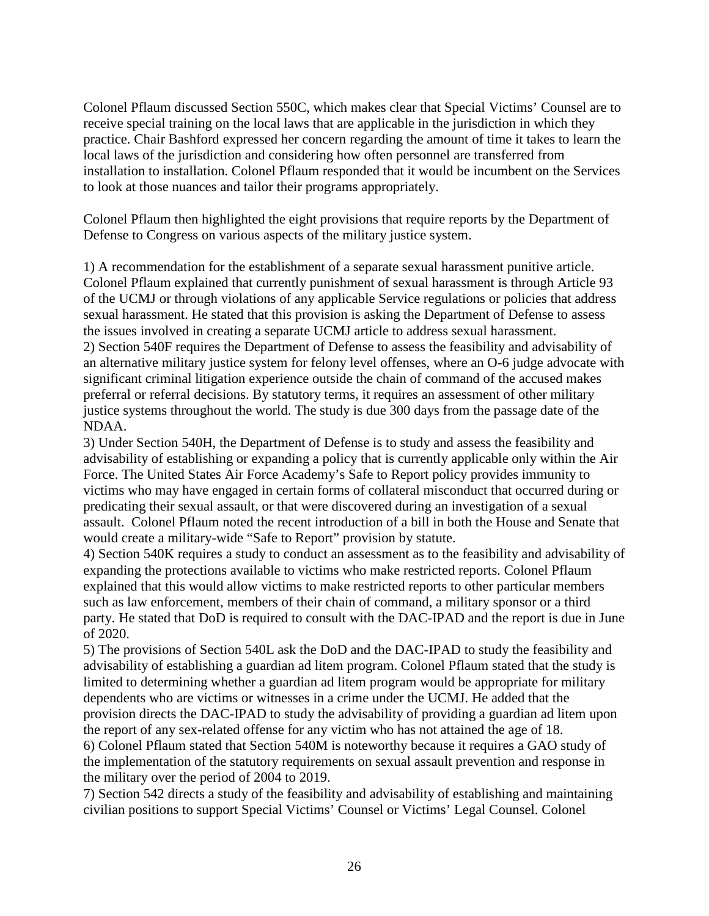Colonel Pflaum discussed Section 550C, which makes clear that Special Victims' Counsel are to receive special training on the local laws that are applicable in the jurisdiction in which they practice. Chair Bashford expressed her concern regarding the amount of time it takes to learn the local laws of the jurisdiction and considering how often personnel are transferred from installation to installation. Colonel Pflaum responded that it would be incumbent on the Services to look at those nuances and tailor their programs appropriately.

Colonel Pflaum then highlighted the eight provisions that require reports by the Department of Defense to Congress on various aspects of the military justice system.

1) A recommendation for the establishment of a separate sexual harassment punitive article. Colonel Pflaum explained that currently punishment of sexual harassment is through Article 93 of the UCMJ or through violations of any applicable Service regulations or policies that address sexual harassment. He stated that this provision is asking the Department of Defense to assess the issues involved in creating a separate UCMJ article to address sexual harassment. 2) Section 540F requires the Department of Defense to assess the feasibility and advisability of an alternative military justice system for felony level offenses, where an O-6 judge advocate with significant criminal litigation experience outside the chain of command of the accused makes preferral or referral decisions. By statutory terms, it requires an assessment of other military justice systems throughout the world. The study is due 300 days from the passage date of the NDAA.

3) Under Section 540H, the Department of Defense is to study and assess the feasibility and advisability of establishing or expanding a policy that is currently applicable only within the Air Force. The United States Air Force Academy's Safe to Report policy provides immunity to victims who may have engaged in certain forms of collateral misconduct that occurred during or predicating their sexual assault, or that were discovered during an investigation of a sexual assault. Colonel Pflaum noted the recent introduction of a bill in both the House and Senate that would create a military-wide "Safe to Report" provision by statute.

4) Section 540K requires a study to conduct an assessment as to the feasibility and advisability of expanding the protections available to victims who make restricted reports. Colonel Pflaum explained that this would allow victims to make restricted reports to other particular members such as law enforcement, members of their chain of command, a military sponsor or a third party. He stated that DoD is required to consult with the DAC-IPAD and the report is due in June of 2020.

5) The provisions of Section 540L ask the DoD and the DAC-IPAD to study the feasibility and advisability of establishing a guardian ad litem program. Colonel Pflaum stated that the study is limited to determining whether a guardian ad litem program would be appropriate for military dependents who are victims or witnesses in a crime under the UCMJ. He added that the provision directs the DAC-IPAD to study the advisability of providing a guardian ad litem upon the report of any sex-related offense for any victim who has not attained the age of 18. 6) Colonel Pflaum stated that Section 540M is noteworthy because it requires a GAO study of the implementation of the statutory requirements on sexual assault prevention and response in the military over the period of 2004 to 2019.

7) Section 542 directs a study of the feasibility and advisability of establishing and maintaining civilian positions to support Special Victims' Counsel or Victims' Legal Counsel. Colonel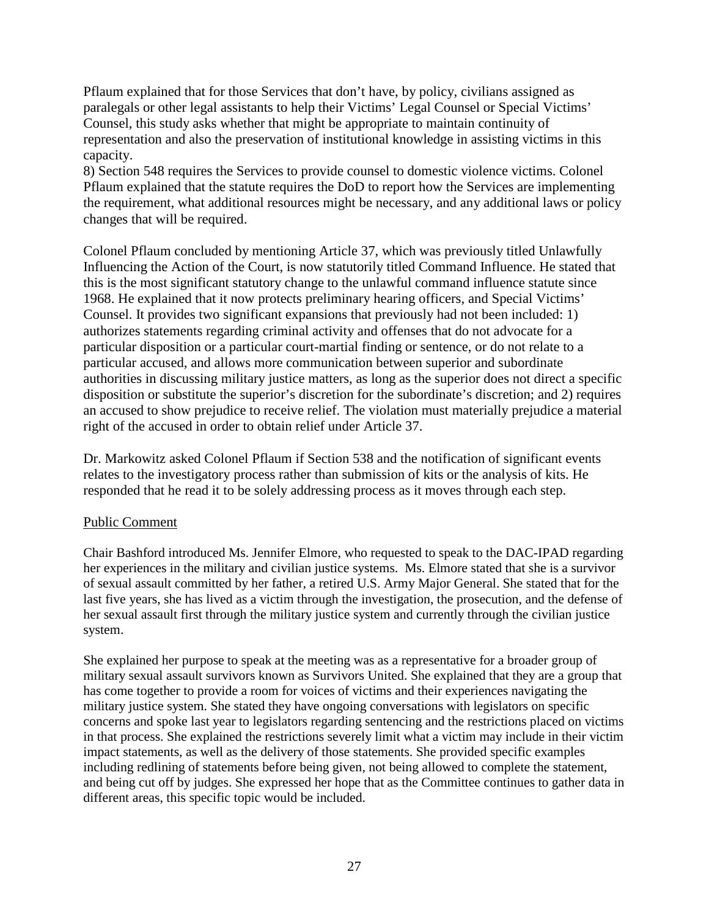Pflaum explained that for those Services that don't have, by policy, civilians assigned as paralegals or other legal assistants to help their Victims' Legal Counsel or Special Victims' Counsel, this study asks whether that might be appropriate to maintain continuity of representation and also the preservation of institutional knowledge in assisting victims in this capacity.

8) Section 548 requires the Services to provide counsel to domestic violence victims. Colonel Pflaum explained that the statute requires the DoD to report how the Services are implementing the requirement, what additional resources might be necessary, and any additional laws or policy changes that will be required.

Colonel Pflaum concluded by mentioning Article 37, which was previously titled Unlawfully Influencing the Action of the Court, is now statutorily titled Command Influence. He stated that this is the most significant statutory change to the unlawful command influence statute since 1968. He explained that it now protects preliminary hearing officers, and Special Victims' Counsel. It provides two significant expansions that previously had not been included: 1) authorizes statements regarding criminal activity and offenses that do not advocate for a particular disposition or a particular court-martial finding or sentence, or do not relate to a particular accused, and allows more communication between superior and subordinate authorities in discussing military justice matters, as long as the superior does not direct a specific disposition or substitute the superior's discretion for the subordinate's discretion; and 2) requires an accused to show prejudice to receive relief. The violation must materially prejudice a material right of the accused in order to obtain relief under Article 37.

Dr. Markowitz asked Colonel Pflaum if Section 538 and the notification of significant events relates to the investigatory process rather than submission of kits or the analysis of kits. He responded that he read it to be solely addressing process as it moves through each step.

# Public Comment

Chair Bashford introduced Ms. Jennifer Elmore, who requested to speak to the DAC-IPAD regarding her experiences in the military and civilian justice systems. Ms. Elmore stated that she is a survivor of sexual assault committed by her father, a retired U.S. Army Major General. She stated that for the last five years, she has lived as a victim through the investigation, the prosecution, and the defense of her sexual assault first through the military justice system and currently through the civilian justice system.

She explained her purpose to speak at the meeting was as a representative for a broader group of military sexual assault survivors known as Survivors United. She explained that they are a group that has come together to provide a room for voices of victims and their experiences navigating the military justice system. She stated they have ongoing conversations with legislators on specific concerns and spoke last year to legislators regarding sentencing and the restrictions placed on victims in that process. She explained the restrictions severely limit what a victim may include in their victim impact statements, as well as the delivery of those statements. She provided specific examples including redlining of statements before being given, not being allowed to complete the statement, and being cut off by judges. She expressed her hope that as the Committee continues to gather data in different areas, this specific topic would be included.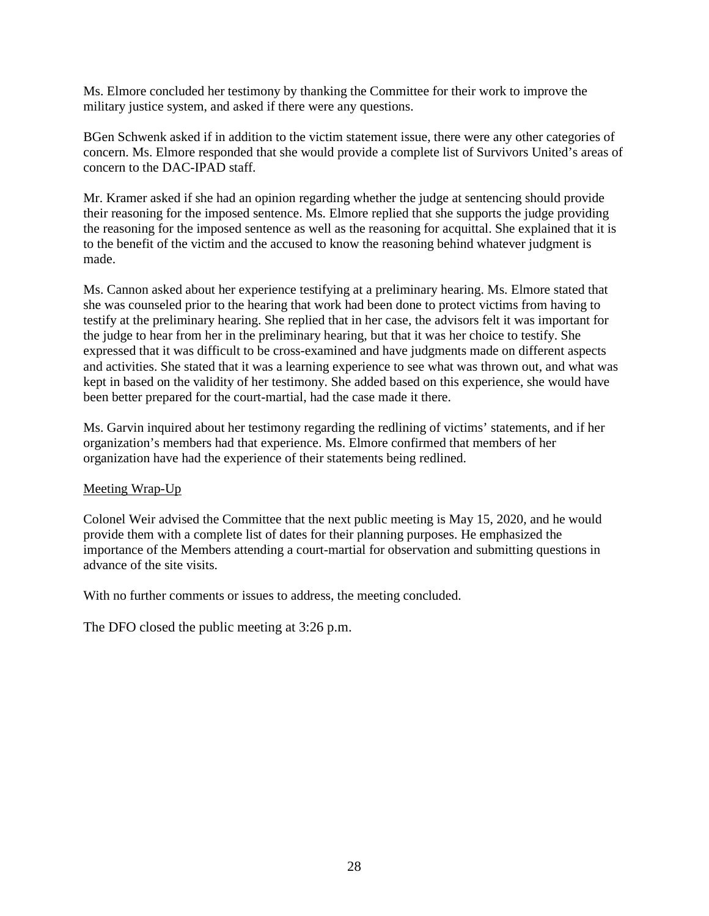Ms. Elmore concluded her testimony by thanking the Committee for their work to improve the military justice system, and asked if there were any questions.

BGen Schwenk asked if in addition to the victim statement issue, there were any other categories of concern. Ms. Elmore responded that she would provide a complete list of Survivors United's areas of concern to the DAC-IPAD staff.

Mr. Kramer asked if she had an opinion regarding whether the judge at sentencing should provide their reasoning for the imposed sentence. Ms. Elmore replied that she supports the judge providing the reasoning for the imposed sentence as well as the reasoning for acquittal. She explained that it is to the benefit of the victim and the accused to know the reasoning behind whatever judgment is made.

Ms. Cannon asked about her experience testifying at a preliminary hearing. Ms. Elmore stated that she was counseled prior to the hearing that work had been done to protect victims from having to testify at the preliminary hearing. She replied that in her case, the advisors felt it was important for the judge to hear from her in the preliminary hearing, but that it was her choice to testify. She expressed that it was difficult to be cross-examined and have judgments made on different aspects and activities. She stated that it was a learning experience to see what was thrown out, and what was kept in based on the validity of her testimony. She added based on this experience, she would have been better prepared for the court-martial, had the case made it there.

Ms. Garvin inquired about her testimony regarding the redlining of victims' statements, and if her organization's members had that experience. Ms. Elmore confirmed that members of her organization have had the experience of their statements being redlined.

#### Meeting Wrap-Up

Colonel Weir advised the Committee that the next public meeting is May 15, 2020, and he would provide them with a complete list of dates for their planning purposes. He emphasized the importance of the Members attending a court-martial for observation and submitting questions in advance of the site visits.

With no further comments or issues to address, the meeting concluded.

The DFO closed the public meeting at 3:26 p.m.